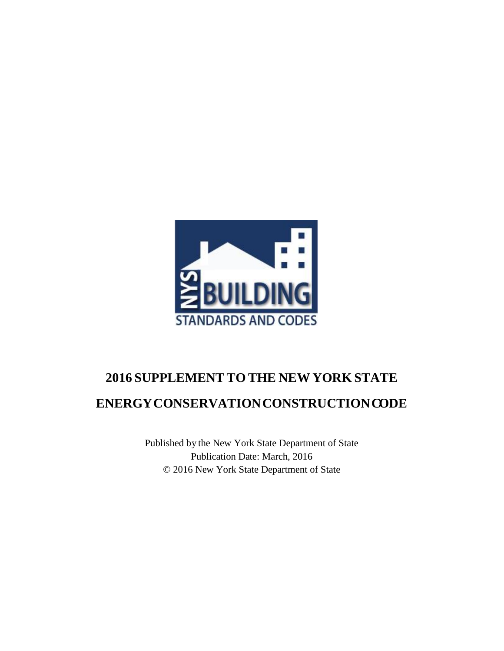

# **2016 SUPPLEMENT TO THE NEW YORK STATE ENERGYCONSERVATIONCONSTRUCTIONCODE**

Published by the New York State Department of State Publication Date: March, 2016 © 2016 New York State Department of State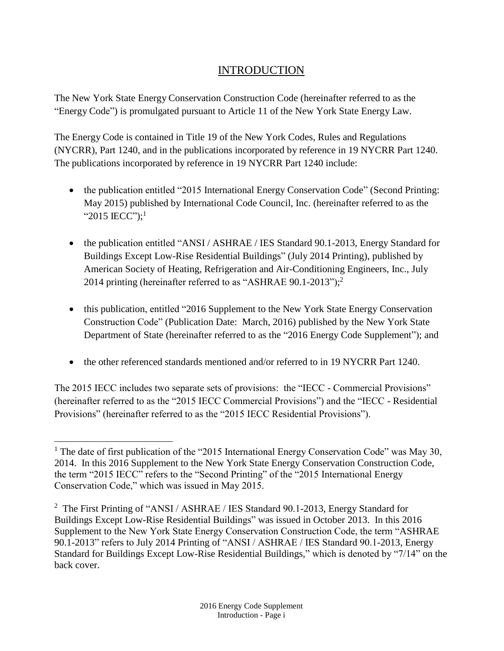# INTRODUCTION

<span id="page-1-0"></span>The New York State Energy Conservation Construction Code (hereinafter referred to as the "Energy Code") is promulgated pursuant to Article 11 of the New York State Energy Law.

The Energy Code is contained in Title 19 of the New York Codes, Rules and Regulations (NYCRR), Part 1240, and in the publications incorporated by reference in 19 NYCRR Part 1240. The publications incorporated by reference in 19 NYCRR Part 1240 include:

- the publication entitled "2015 International Energy Conservation Code" (Second Printing: May 2015) published by International Code Council, Inc. (hereinafter referred to as the "2015 IECC");<sup>1</sup>
- the publication entitled "ANSI / ASHRAE / IES Standard 90.1-2013, Energy Standard for Buildings Except Low-Rise Residential Buildings" (July 2014 Printing), published by American Society of Heating, Refrigeration and Air-Conditioning Engineers, Inc., July 2014 printing (hereinafter referred to as "ASHRAE 90.1-2013"); 2
- this publication, entitled "2016 Supplement to the New York State Energy Conservation Construction Code" (Publication Date: March, 2016) published by the New York State Department of State (hereinafter referred to as the "2016 Energy Code Supplement"); and
- the other referenced standards mentioned and/or referred to in 19 NYCRR Part 1240.

The 2015 IECC includes two separate sets of provisions: the "IECC - Commercial Provisions" (hereinafter referred to as the "2015 IECC Commercial Provisions") and the "IECC - Residential Provisions" (hereinafter referred to as the "2015 IECC Residential Provisions").

l <sup>1</sup> The date of first publication of the "2015 International Energy Conservation Code" was May 30, 2014. In this 2016 Supplement to the New York State Energy Conservation Construction Code, the term "2015 IECC" refers to the "Second Printing" of the "2015 International Energy Conservation Code," which was issued in May 2015.

<sup>&</sup>lt;sup>2</sup> The First Printing of "ANSI / ASHRAE / IES Standard 90.1-2013, Energy Standard for Buildings Except Low-Rise Residential Buildings" was issued in October 2013. In this 2016 Supplement to the New York State Energy Conservation Construction Code, the term "ASHRAE 90.1-2013" refers to July 2014 Printing of "ANSI / ASHRAE / IES Standard 90.1-2013, Energy Standard for Buildings Except Low-Rise Residential Buildings," which is denoted by "7/14" on the back cover.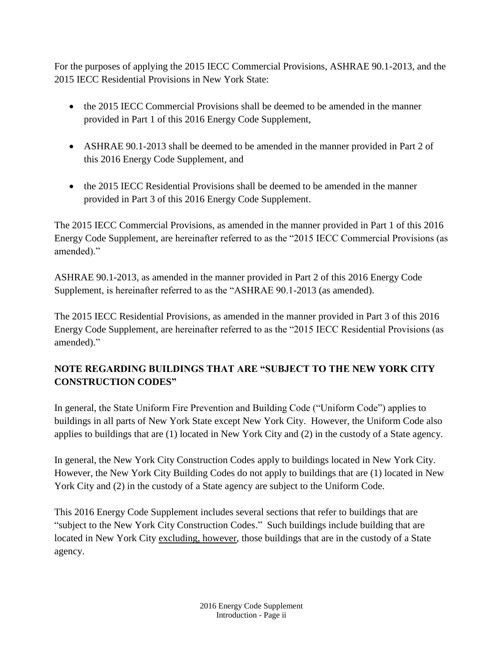For the purposes of applying the 2015 IECC Commercial Provisions, ASHRAE 90.1-2013, and the 2015 IECC Residential Provisions in New York State:

- the 2015 IECC Commercial Provisions shall be deemed to be amended in the manner provided in Part 1 of this 2016 Energy Code Supplement,
- ASHRAE 90.1-2013 shall be deemed to be amended in the manner provided in Part 2 of this 2016 Energy Code Supplement, and
- the 2015 IECC Residential Provisions shall be deemed to be amended in the manner provided in Part 3 of this 2016 Energy Code Supplement.

The 2015 IECC Commercial Provisions, as amended in the manner provided in Part 1 of this 2016 Energy Code Supplement, are hereinafter referred to as the "2015 IECC Commercial Provisions (as amended)."

ASHRAE 90.1-2013, as amended in the manner provided in Part 2 of this 2016 Energy Code Supplement, is hereinafter referred to as the "ASHRAE 90.1-2013 (as amended).

The 2015 IECC Residential Provisions, as amended in the manner provided in Part 3 of this 2016 Energy Code Supplement, are hereinafter referred to as the "2015 IECC Residential Provisions (as amended)."

# **NOTE REGARDING BUILDINGS THAT ARE "SUBJECT TO THE NEW YORK CITY CONSTRUCTION CODES"**

In general, the State Uniform Fire Prevention and Building Code ("Uniform Code") applies to buildings in all parts of New York State except New York City. However, the Uniform Code also applies to buildings that are (1) located in New York City and (2) in the custody of a State agency.

In general, the New York City Construction Codes apply to buildings located in New York City. However, the New York City Building Codes do not apply to buildings that are (1) located in New York City and (2) in the custody of a State agency are subject to the Uniform Code.

This 2016 Energy Code Supplement includes several sections that refer to buildings that are "subject to the New York City Construction Codes." Such buildings include building that are located in New York City excluding, however, those buildings that are in the custody of a State agency.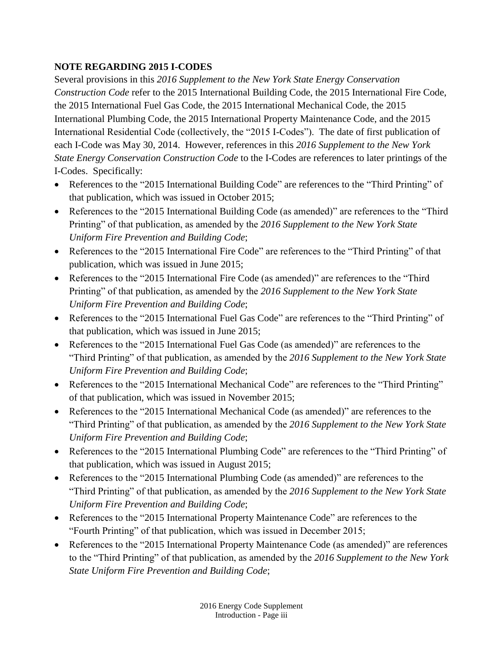# **NOTE REGARDING 2015 I-CODES**

Several provisions in this *2016 Supplement to the New York State Energy Conservation Construction Code* refer to the 2015 International Building Code, the 2015 International Fire Code, the 2015 International Fuel Gas Code, the 2015 International Mechanical Code, the 2015 International Plumbing Code, the 2015 International Property Maintenance Code, and the 2015 International Residential Code (collectively, the "2015 I-Codes"). The date of first publication of each I-Code was May 30, 2014. However, references in this *2016 Supplement to the New York State Energy Conservation Construction Code* to the I-Codes are references to later printings of the I-Codes. Specifically:

- References to the "2015 International Building Code" are references to the "Third Printing" of that publication, which was issued in October 2015;
- References to the "2015 International Building Code (as amended)" are references to the "Third Printing" of that publication, as amended by the *2016 Supplement to the New York State Uniform Fire Prevention and Building Code*;
- References to the "2015 International Fire Code" are references to the "Third Printing" of that publication, which was issued in June 2015;
- References to the "2015 International Fire Code (as amended)" are references to the "Third Printing" of that publication, as amended by the *2016 Supplement to the New York State Uniform Fire Prevention and Building Code*;
- References to the "2015 International Fuel Gas Code" are references to the "Third Printing" of that publication, which was issued in June 2015;
- References to the "2015 International Fuel Gas Code (as amended)" are references to the "Third Printing" of that publication, as amended by the *2016 Supplement to the New York State Uniform Fire Prevention and Building Code*;
- References to the "2015 International Mechanical Code" are references to the "Third Printing" of that publication, which was issued in November 2015;
- References to the "2015 International Mechanical Code (as amended)" are references to the "Third Printing" of that publication, as amended by the *2016 Supplement to the New York State Uniform Fire Prevention and Building Code*;
- References to the "2015 International Plumbing Code" are references to the "Third Printing" of that publication, which was issued in August 2015;
- References to the "2015 International Plumbing Code (as amended)" are references to the "Third Printing" of that publication, as amended by the *2016 Supplement to the New York State Uniform Fire Prevention and Building Code*;
- References to the "2015 International Property Maintenance Code" are references to the "Fourth Printing" of that publication, which was issued in December 2015;
- References to the "2015 International Property Maintenance Code (as amended)" are references to the "Third Printing" of that publication, as amended by the *2016 Supplement to the New York State Uniform Fire Prevention and Building Code*;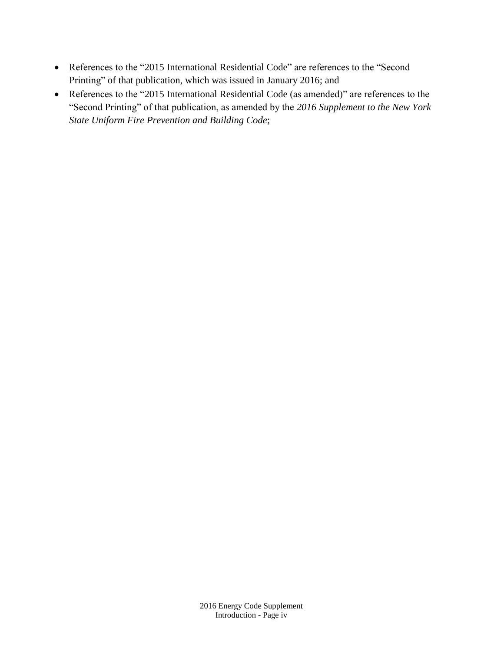- References to the "2015 International Residential Code" are references to the "Second Printing" of that publication, which was issued in January 2016; and
- References to the "2015 International Residential Code (as amended)" are references to the "Second Printing" of that publication, as amended by the *2016 Supplement to the New York State Uniform Fire Prevention and Building Code*;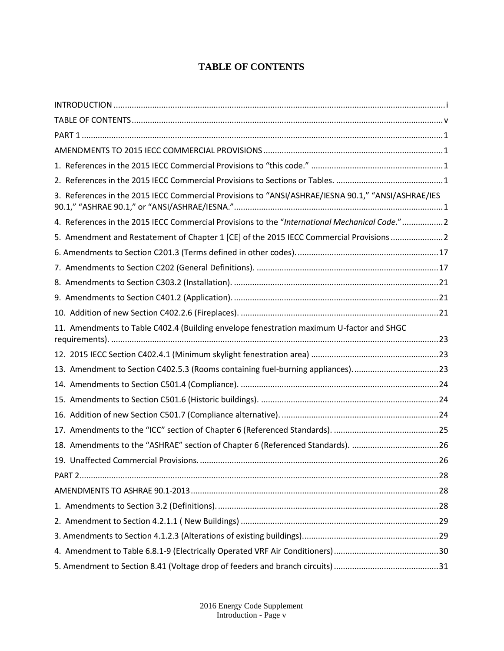# **TABLE OF CONTENTS**

<span id="page-5-0"></span>

| 3. References in the 2015 IECC Commercial Provisions to "ANSI/ASHRAE/IESNA 90.1," "ANSI/ASHRAE/IES |  |
|----------------------------------------------------------------------------------------------------|--|
| 4. References in the 2015 IECC Commercial Provisions to the "International Mechanical Code."2      |  |
| 5. Amendment and Restatement of Chapter 1 [CE] of the 2015 IECC Commercial Provisions 2            |  |
|                                                                                                    |  |
|                                                                                                    |  |
|                                                                                                    |  |
|                                                                                                    |  |
|                                                                                                    |  |
| 11. Amendments to Table C402.4 (Building envelope fenestration maximum U-factor and SHGC           |  |
|                                                                                                    |  |
| 13. Amendment to Section C402.5.3 (Rooms containing fuel-burning appliances)23                     |  |
|                                                                                                    |  |
|                                                                                                    |  |
|                                                                                                    |  |
|                                                                                                    |  |
| 18. Amendments to the "ASHRAE" section of Chapter 6 (Referenced Standards). 26                     |  |
|                                                                                                    |  |
|                                                                                                    |  |
|                                                                                                    |  |
|                                                                                                    |  |
|                                                                                                    |  |
|                                                                                                    |  |
|                                                                                                    |  |
|                                                                                                    |  |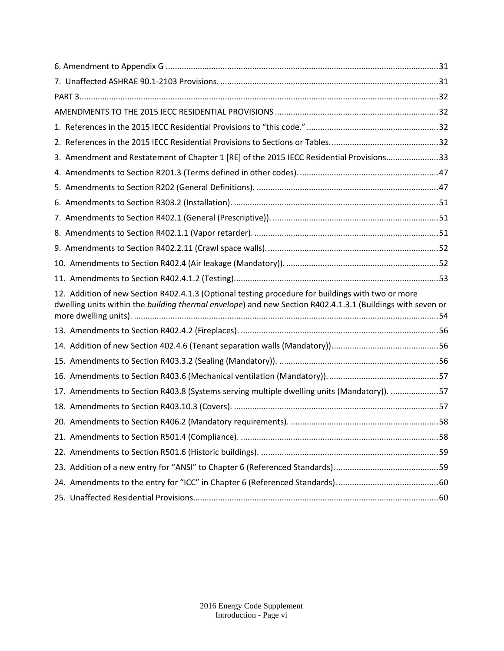| 3. Amendment and Restatement of Chapter 1 [RE] of the 2015 IECC Residential Provisions33                                                                                                                        |  |
|-----------------------------------------------------------------------------------------------------------------------------------------------------------------------------------------------------------------|--|
|                                                                                                                                                                                                                 |  |
|                                                                                                                                                                                                                 |  |
|                                                                                                                                                                                                                 |  |
|                                                                                                                                                                                                                 |  |
|                                                                                                                                                                                                                 |  |
|                                                                                                                                                                                                                 |  |
|                                                                                                                                                                                                                 |  |
|                                                                                                                                                                                                                 |  |
| 12. Addition of new Section R402.4.1.3 (Optional testing procedure for buildings with two or more<br>dwelling units within the building thermal envelope) and new Section R402.4.1.3.1 (Buildings with seven or |  |
|                                                                                                                                                                                                                 |  |
|                                                                                                                                                                                                                 |  |
|                                                                                                                                                                                                                 |  |
|                                                                                                                                                                                                                 |  |
| 17. Amendments to Section R403.8 (Systems serving multiple dwelling units (Mandatory)). 57                                                                                                                      |  |
|                                                                                                                                                                                                                 |  |
|                                                                                                                                                                                                                 |  |
|                                                                                                                                                                                                                 |  |
|                                                                                                                                                                                                                 |  |
|                                                                                                                                                                                                                 |  |
|                                                                                                                                                                                                                 |  |
|                                                                                                                                                                                                                 |  |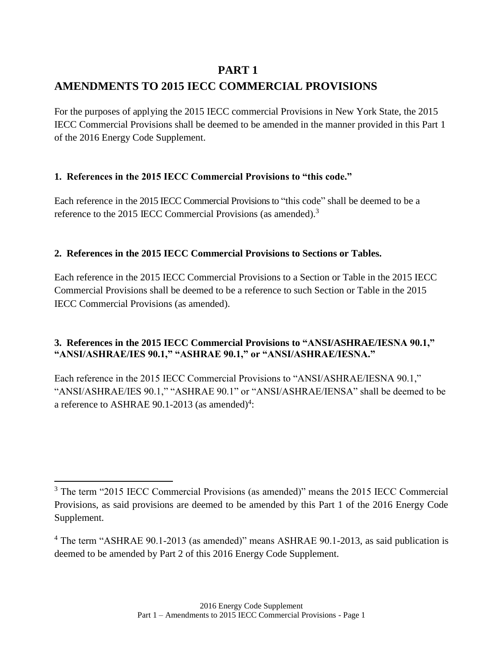# **PART 1**

# <span id="page-7-1"></span><span id="page-7-0"></span>**AMENDMENTS TO 2015 IECC COMMERCIAL PROVISIONS**

For the purposes of applying the 2015 IECC commercial Provisions in New York State, the 2015 IECC Commercial Provisions shall be deemed to be amended in the manner provided in this Part 1 of the 2016 Energy Code Supplement.

# <span id="page-7-2"></span>**1. References in the 2015 IECC Commercial Provisions to "this code."**

Each reference in the 2015 IECC Commercial Provisions to "this code" shall be deemed to be a reference to the 2015 IECC Commercial Provisions (as amended).<sup>3</sup>

# <span id="page-7-3"></span>**2. References in the 2015 IECC Commercial Provisions to Sections or Tables.**

Each reference in the 2015 IECC Commercial Provisions to a Section or Table in the 2015 IECC Commercial Provisions shall be deemed to be a reference to such Section or Table in the 2015 IECC Commercial Provisions (as amended).

# <span id="page-7-4"></span>**3. References in the 2015 IECC Commercial Provisions to "ANSI/ASHRAE/IESNA 90.1," "ANSI/ASHRAE/IES 90.1," "ASHRAE 90.1," or "ANSI/ASHRAE/IESNA."**

Each reference in the 2015 IECC Commercial Provisions to "ANSI/ASHRAE/IESNA 90.1," "ANSI/ASHRAE/IES 90.1," "ASHRAE 90.1" or "ANSI/ASHRAE/IENSA" shall be deemed to be a reference to ASHRAE 90.1-2013 (as amended)<sup>4</sup>:

 $\overline{a}$ 

<sup>&</sup>lt;sup>3</sup> The term "2015 IECC Commercial Provisions (as amended)" means the 2015 IECC Commercial Provisions, as said provisions are deemed to be amended by this Part 1 of the 2016 Energy Code Supplement.

<sup>4</sup> The term "ASHRAE 90.1-2013 (as amended)" means ASHRAE 90.1-2013, as said publication is deemed to be amended by Part 2 of this 2016 Energy Code Supplement.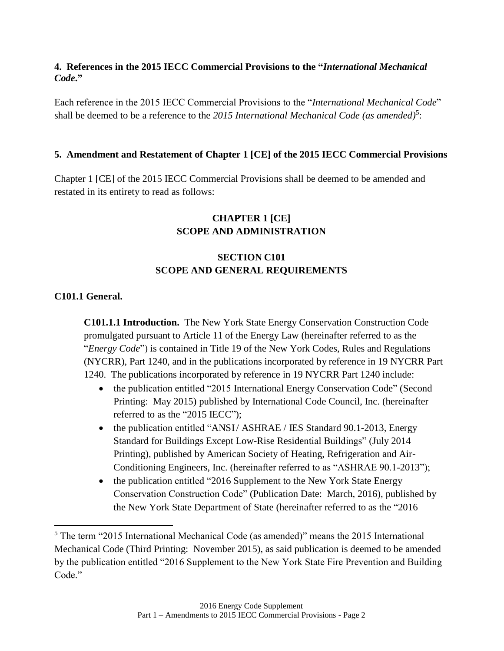### <span id="page-8-0"></span>**4. References in the 2015 IECC Commercial Provisions to the "***International Mechanical Code***."**

Each reference in the 2015 IECC Commercial Provisions to the "*International Mechanical Code*" shall be deemed to be a reference to the 2015 International Mechanical Code (as amended)<sup>5</sup>:

# <span id="page-8-1"></span>**5. Amendment and Restatement of Chapter 1 [CE] of the 2015 IECC Commercial Provisions**

Chapter 1 [CE] of the 2015 IECC Commercial Provisions shall be deemed to be amended and restated in its entirety to read as follows:

# **CHAPTER 1 [CE] SCOPE AND ADMINISTRATION**

# **SECTION C101 SCOPE AND GENERAL REQUIREMENTS**

# **C101.1 General.**

 $\overline{\phantom{a}}$ 

**C101.1.1 Introduction.** The New York State Energy Conservation Construction Code promulgated pursuant to Article 11 of the Energy Law (hereinafter referred to as the "*Energy Code*") is contained in Title 19 of the New York Codes, Rules and Regulations (NYCRR), Part 1240, and in the publications incorporated by reference in 19 NYCRR Part 1240. The publications incorporated by reference in 19 NYCRR Part 1240 include:

- the publication entitled "2015 International Energy Conservation Code" (Second Printing: May 2015) published by International Code Council, Inc. (hereinafter referred to as the "2015 IECC");
- the publication entitled "ANSI/ ASHRAE / IES Standard 90.1-2013, Energy Standard for Buildings Except Low-Rise Residential Buildings" (July 2014 Printing), published by American Society of Heating, Refrigeration and Air-Conditioning Engineers, Inc. (hereinafter referred to as "ASHRAE 90.1-2013");
- the publication entitled "2016 Supplement to the New York State Energy Conservation Construction Code" (Publication Date: March, 2016), published by the New York State Department of State (hereinafter referred to as the "2016

<sup>5</sup> The term "2015 International Mechanical Code (as amended)" means the 2015 International Mechanical Code (Third Printing: November 2015), as said publication is deemed to be amended by the publication entitled "2016 Supplement to the New York State Fire Prevention and Building Code."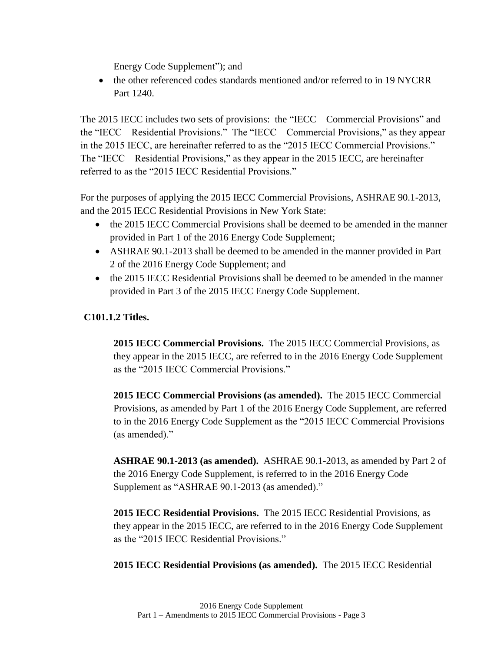Energy Code Supplement"); and

• the other referenced codes standards mentioned and/or referred to in 19 NYCRR Part 1240.

The 2015 IECC includes two sets of provisions: the "IECC – Commercial Provisions" and the "IECC – Residential Provisions." The "IECC – Commercial Provisions," as they appear in the 2015 IECC, are hereinafter referred to as the "2015 IECC Commercial Provisions." The "IECC – Residential Provisions," as they appear in the 2015 IECC, are hereinafter referred to as the "2015 IECC Residential Provisions."

For the purposes of applying the 2015 IECC Commercial Provisions, ASHRAE 90.1-2013, and the 2015 IECC Residential Provisions in New York State:

- the 2015 IECC Commercial Provisions shall be deemed to be amended in the manner provided in Part 1 of the 2016 Energy Code Supplement;
- ASHRAE 90.1-2013 shall be deemed to be amended in the manner provided in Part 2 of the 2016 Energy Code Supplement; and
- the 2015 IECC Residential Provisions shall be deemed to be amended in the manner provided in Part 3 of the 2015 IECC Energy Code Supplement.

# **C101.1.2 Titles.**

**2015 IECC Commercial Provisions.** The 2015 IECC Commercial Provisions, as they appear in the 2015 IECC, are referred to in the 2016 Energy Code Supplement as the "2015 IECC Commercial Provisions."

**2015 IECC Commercial Provisions (as amended).** The 2015 IECC Commercial Provisions, as amended by Part 1 of the 2016 Energy Code Supplement, are referred to in the 2016 Energy Code Supplement as the "2015 IECC Commercial Provisions (as amended)."

**ASHRAE 90.1-2013 (as amended).** ASHRAE 90.1-2013, as amended by Part 2 of the 2016 Energy Code Supplement, is referred to in the 2016 Energy Code Supplement as "ASHRAE 90.1-2013 (as amended)."

**2015 IECC Residential Provisions.** The 2015 IECC Residential Provisions, as they appear in the 2015 IECC, are referred to in the 2016 Energy Code Supplement as the "2015 IECC Residential Provisions."

**2015 IECC Residential Provisions (as amended).** The 2015 IECC Residential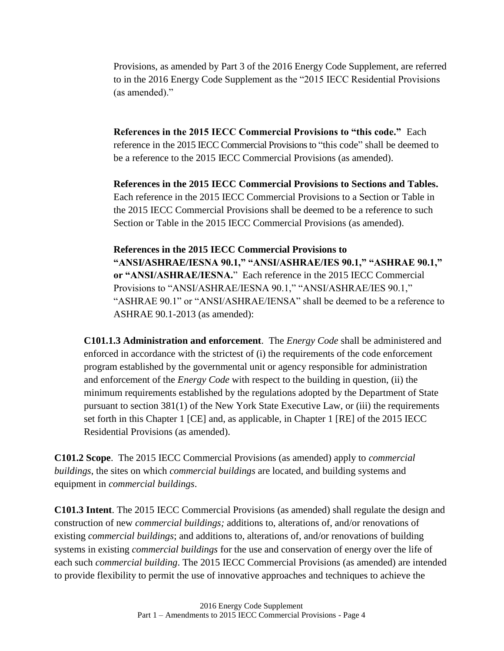Provisions, as amended by Part 3 of the 2016 Energy Code Supplement, are referred to in the 2016 Energy Code Supplement as the "2015 IECC Residential Provisions (as amended)."

**References in the 2015 IECC Commercial Provisions to "this code."** Each reference in the 2015 IECC Commercial Provisions to "this code" shall be deemed to be a reference to the 2015 IECC Commercial Provisions (as amended).

**References in the 2015 IECC Commercial Provisions to Sections and Tables.**  Each reference in the 2015 IECC Commercial Provisions to a Section or Table in the 2015 IECC Commercial Provisions shall be deemed to be a reference to such Section or Table in the 2015 IECC Commercial Provisions (as amended).

**References in the 2015 IECC Commercial Provisions to "ANSI/ASHRAE/IESNA 90.1," "ANSI/ASHRAE/IES 90.1," "ASHRAE 90.1," or "ANSI/ASHRAE/IESNA.**" Each reference in the 2015 IECC Commercial Provisions to "ANSI/ASHRAE/IESNA 90.1," "ANSI/ASHRAE/IES 90.1," "ASHRAE 90.1" or "ANSI/ASHRAE/IENSA" shall be deemed to be a reference to ASHRAE 90.1-2013 (as amended):

**C101.1.3 Administration and enforcement**. The *Energy Code* shall be administered and enforced in accordance with the strictest of (i) the requirements of the code enforcement program established by the governmental unit or agency responsible for administration and enforcement of the *Energy Code* with respect to the building in question, (ii) the minimum requirements established by the regulations adopted by the Department of State pursuant to section 381(1) of the New York State Executive Law, or (iii) the requirements set forth in this Chapter 1 [CE] and, as applicable, in Chapter 1 [RE] of the 2015 IECC Residential Provisions (as amended).

**C101.2 Scope**. The 2015 IECC Commercial Provisions (as amended) apply to *commercial buildings*, the sites on which *commercial buildings* are located, and building systems and equipment in *commercial buildings*.

**C101.3 Intent**. The 2015 IECC Commercial Provisions (as amended) shall regulate the design and construction of new *commercial buildings;* additions to, alterations of, and/or renovations of existing *commercial buildings*; and additions to, alterations of, and/or renovations of building systems in existing *commercial buildings* for the use and conservation of energy over the life of each such *commercial building*. The 2015 IECC Commercial Provisions (as amended) are intended to provide flexibility to permit the use of innovative approaches and techniques to achieve the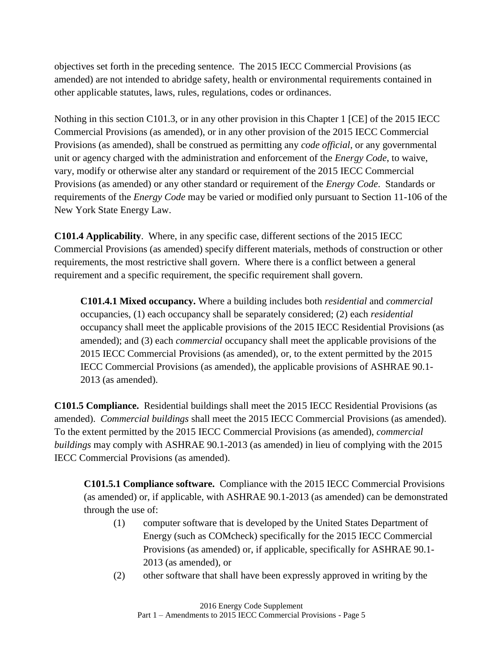objectives set forth in the preceding sentence. The 2015 IECC Commercial Provisions (as amended) are not intended to abridge safety, health or environmental requirements contained in other applicable statutes, laws, rules, regulations, codes or ordinances.

Nothing in this section C101.3, or in any other provision in this Chapter 1 [CE] of the 2015 IECC Commercial Provisions (as amended), or in any other provision of the 2015 IECC Commercial Provisions (as amended), shall be construed as permitting any *code official*, or any governmental unit or agency charged with the administration and enforcement of the *Energy Code*, to waive, vary, modify or otherwise alter any standard or requirement of the 2015 IECC Commercial Provisions (as amended) or any other standard or requirement of the *Energy Code*. Standards or requirements of the *Energy Code* may be varied or modified only pursuant to Section 11-106 of the New York State Energy Law.

**C101.4 Applicability**. Where, in any specific case, different sections of the 2015 IECC Commercial Provisions (as amended) specify different materials, methods of construction or other requirements, the most restrictive shall govern. Where there is a conflict between a general requirement and a specific requirement, the specific requirement shall govern.

**C101.4.1 Mixed occupancy.** Where a building includes both *residential* and *commercial* occupancies, (1) each occupancy shall be separately considered; (2) each *residential* occupancy shall meet the applicable provisions of the 2015 IECC Residential Provisions (as amended); and (3) each *commercial* occupancy shall meet the applicable provisions of the 2015 IECC Commercial Provisions (as amended), or, to the extent permitted by the 2015 IECC Commercial Provisions (as amended), the applicable provisions of ASHRAE 90.1- 2013 (as amended).

**C101.5 Compliance.** Residential buildings shall meet the 2015 IECC Residential Provisions (as amended). *Commercial buildings* shall meet the 2015 IECC Commercial Provisions (as amended). To the extent permitted by the 2015 IECC Commercial Provisions (as amended), *commercial buildings* may comply with ASHRAE 90.1-2013 (as amended) in lieu of complying with the 2015 IECC Commercial Provisions (as amended).

**C101.5.1 Compliance software.** Compliance with the 2015 IECC Commercial Provisions (as amended) or, if applicable, with ASHRAE 90.1-2013 (as amended) can be demonstrated through the use of:

- (1) computer software that is developed by the United States Department of Energy (such as COMcheck) specifically for the 2015 IECC Commercial Provisions (as amended) or, if applicable, specifically for ASHRAE 90.1- 2013 (as amended), or
- (2) other software that shall have been expressly approved in writing by the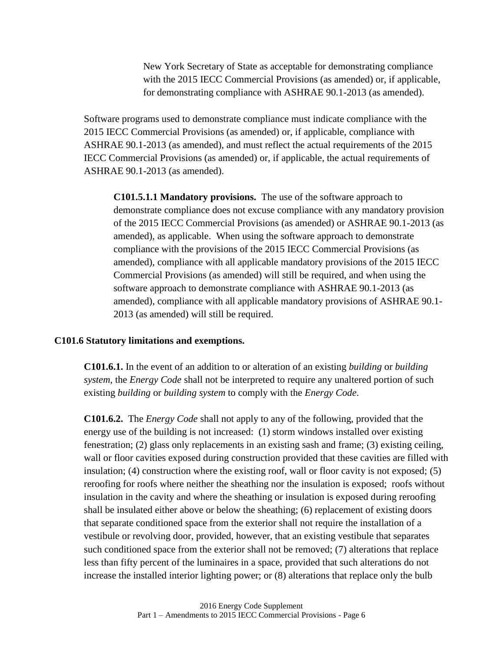New York Secretary of State as acceptable for demonstrating compliance with the 2015 IECC Commercial Provisions (as amended) or, if applicable, for demonstrating compliance with ASHRAE 90.1-2013 (as amended).

Software programs used to demonstrate compliance must indicate compliance with the 2015 IECC Commercial Provisions (as amended) or, if applicable, compliance with ASHRAE 90.1-2013 (as amended), and must reflect the actual requirements of the 2015 IECC Commercial Provisions (as amended) or, if applicable, the actual requirements of ASHRAE 90.1-2013 (as amended).

**C101.5.1.1 Mandatory provisions.** The use of the software approach to demonstrate compliance does not excuse compliance with any mandatory provision of the 2015 IECC Commercial Provisions (as amended) or ASHRAE 90.1-2013 (as amended), as applicable. When using the software approach to demonstrate compliance with the provisions of the 2015 IECC Commercial Provisions (as amended), compliance with all applicable mandatory provisions of the 2015 IECC Commercial Provisions (as amended) will still be required, and when using the software approach to demonstrate compliance with ASHRAE 90.1-2013 (as amended), compliance with all applicable mandatory provisions of ASHRAE 90.1- 2013 (as amended) will still be required.

#### **C101.6 Statutory limitations and exemptions.**

**C101.6.1.** In the event of an addition to or alteration of an existing *building* or *building system*, the *Energy Code* shall not be interpreted to require any unaltered portion of such existing *building* or *building system* to comply with the *Energy Code*.

**C101.6.2.** The *Energy Code* shall not apply to any of the following, provided that the energy use of the building is not increased: (1) storm windows installed over existing fenestration; (2) glass only replacements in an existing sash and frame; (3) existing ceiling, wall or floor cavities exposed during construction provided that these cavities are filled with insulation; (4) construction where the existing roof, wall or floor cavity is not exposed; (5) reroofing for roofs where neither the sheathing nor the insulation is exposed; roofs without insulation in the cavity and where the sheathing or insulation is exposed during reroofing shall be insulated either above or below the sheathing; (6) replacement of existing doors that separate conditioned space from the exterior shall not require the installation of a vestibule or revolving door, provided, however, that an existing vestibule that separates such conditioned space from the exterior shall not be removed; (7) alterations that replace less than fifty percent of the luminaires in a space, provided that such alterations do not increase the installed interior lighting power; or (8) alterations that replace only the bulb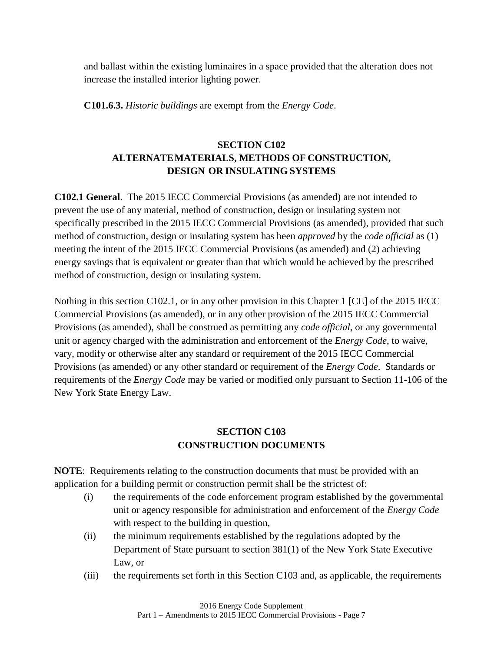and ballast within the existing luminaires in a space provided that the alteration does not increase the installed interior lighting power.

**C101.6.3.** *Historic buildings* are exempt from the *Energy Code*.

# **SECTION C102 ALTERNATEMATERIALS, METHODS OF CONSTRUCTION, DESIGN OR INSULATING SYSTEMS**

**C102.1 General**. The 2015 IECC Commercial Provisions (as amended) are not intended to prevent the use of any material, method of construction, design or insulating system not specifically prescribed in the 2015 IECC Commercial Provisions (as amended), provided that such method of construction, design or insulating system has been *approved* by the *code official* as (1) meeting the intent of the 2015 IECC Commercial Provisions (as amended) and (2) achieving energy savings that is equivalent or greater than that which would be achieved by the prescribed method of construction, design or insulating system.

Nothing in this section C102.1, or in any other provision in this Chapter 1 [CE] of the 2015 IECC Commercial Provisions (as amended), or in any other provision of the 2015 IECC Commercial Provisions (as amended), shall be construed as permitting any *code official*, or any governmental unit or agency charged with the administration and enforcement of the *Energy Code*, to waive, vary, modify or otherwise alter any standard or requirement of the 2015 IECC Commercial Provisions (as amended) or any other standard or requirement of the *Energy Code*. Standards or requirements of the *Energy Code* may be varied or modified only pursuant to Section 11-106 of the New York State Energy Law.

# **SECTION C103 CONSTRUCTION DOCUMENTS**

**NOTE**: Requirements relating to the construction documents that must be provided with an application for a building permit or construction permit shall be the strictest of:

- (i) the requirements of the code enforcement program established by the governmental unit or agency responsible for administration and enforcement of the *Energy Code* with respect to the building in question,
- (ii) the minimum requirements established by the regulations adopted by the Department of State pursuant to section 381(1) of the New York State Executive Law, or
- (iii) the requirements set forth in this Section C103 and, as applicable, the requirements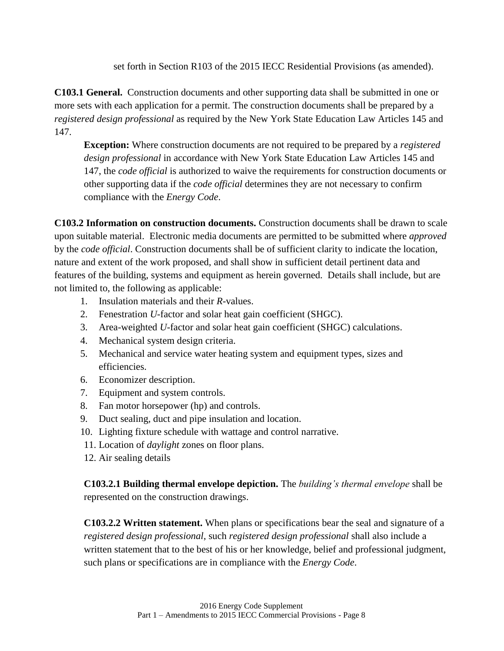set forth in Section R103 of the 2015 IECC Residential Provisions (as amended).

**C103.1 General.** Construction documents and other supporting data shall be submitted in one or more sets with each application for a permit. The construction documents shall be prepared by a *registered design professional* as required by the New York State Education Law Articles 145 and 147.

**Exception:** Where construction documents are not required to be prepared by a *registered design professional* in accordance with New York State Education Law Articles 145 and 147, the *code official* is authorized to waive the requirements for construction documents or other supporting data if the *code official* determines they are not necessary to confirm compliance with the *Energy Code*.

**C103.2 Information on construction documents.** Construction documents shall be drawn to scale upon suitable material. Electronic media documents are permitted to be submitted where *approved*  by the *code official*. Construction documents shall be of sufficient clarity to indicate the location, nature and extent of the work proposed, and shall show in sufficient detail pertinent data and features of the building, systems and equipment as herein governed. Details shall include, but are not limited to, the following as applicable:

- 1. Insulation materials and their *R*-values.
- 2. Fenestration *U*-factor and solar heat gain coefficient (SHGC).
- 3. Area-weighted *U*-factor and solar heat gain coefficient (SHGC) calculations.
- 4. Mechanical system design criteria.
- 5. Mechanical and service water heating system and equipment types, sizes and efficiencies.
- 6. Economizer description.
- 7. Equipment and system controls.
- 8. Fan motor horsepower (hp) and controls.
- 9. Duct sealing, duct and pipe insulation and location.
- 10. Lighting fixture schedule with wattage and control narrative.
- 11. Location of *daylight* zones on floor plans.
- 12. Air sealing details

**C103.2.1 Building thermal envelope depiction.** The *building's thermal envelope* shall be represented on the construction drawings.

**C103.2.2 Written statement.** When plans or specifications bear the seal and signature of a *registered design professional*, such *registered design professional* shall also include a written statement that to the best of his or her knowledge, belief and professional judgment, such plans or specifications are in compliance with the *Energy Code*.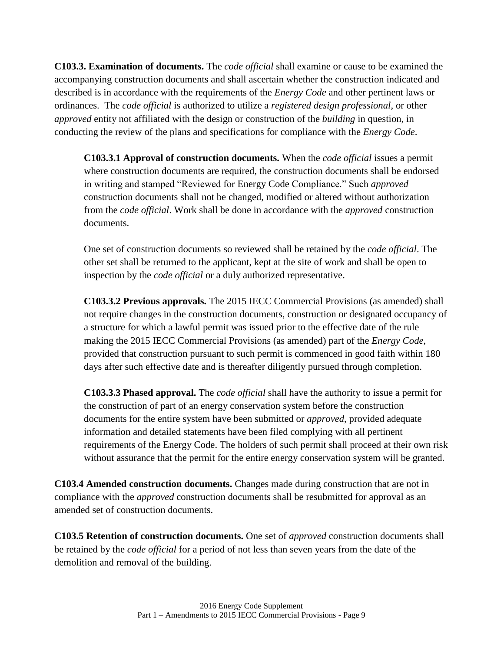**C103.3. Examination of documents.** The *code official* shall examine or cause to be examined the accompanying construction documents and shall ascertain whether the construction indicated and described is in accordance with the requirements of the *Energy Code* and other pertinent laws or ordinances. The *code official* is authorized to utilize a *registered design professional*, or other *approved* entity not affiliated with the design or construction of the *building* in question, in conducting the review of the plans and specifications for compliance with the *Energy Code*.

**C103.3.1 Approval of construction documents.** When the *code official* issues a permit where construction documents are required, the construction documents shall be endorsed in writing and stamped "Reviewed for Energy Code Compliance." Such *approved*  construction documents shall not be changed, modified or altered without authorization from the *code official*. Work shall be done in accordance with the *approved* construction documents.

One set of construction documents so reviewed shall be retained by the *code official*. The other set shall be returned to the applicant, kept at the site of work and shall be open to inspection by the *code official* or a duly authorized representative.

**C103.3.2 Previous approvals.** The 2015 IECC Commercial Provisions (as amended) shall not require changes in the construction documents, construction or designated occupancy of a structure for which a lawful permit was issued prior to the effective date of the rule making the 2015 IECC Commercial Provisions (as amended) part of the *Energy Code*, provided that construction pursuant to such permit is commenced in good faith within 180 days after such effective date and is thereafter diligently pursued through completion.

**C103.3.3 Phased approval.** The *code official* shall have the authority to issue a permit for the construction of part of an energy conservation system before the construction documents for the entire system have been submitted or *approved*, provided adequate information and detailed statements have been filed complying with all pertinent requirements of the Energy Code. The holders of such permit shall proceed at their own risk without assurance that the permit for the entire energy conservation system will be granted.

**C103.4 Amended construction documents.** Changes made during construction that are not in compliance with the *approved* construction documents shall be resubmitted for approval as an amended set of construction documents.

**C103.5 Retention of construction documents.** One set of *approved* construction documents shall be retained by the *code official* for a period of not less than seven years from the date of the demolition and removal of the building.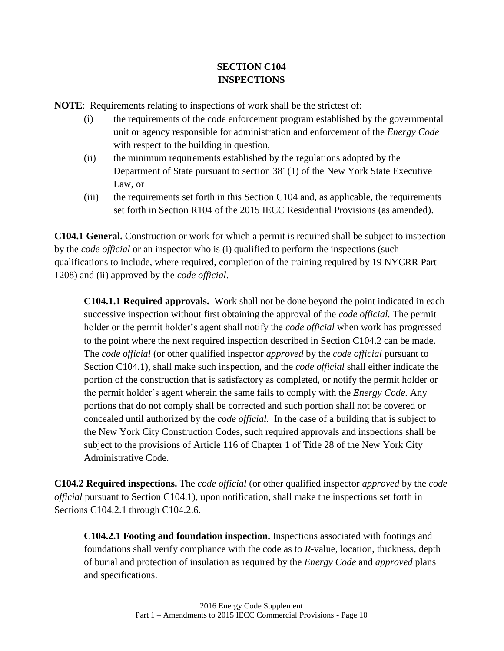# **SECTION C104 INSPECTIONS**

**NOTE**: Requirements relating to inspections of work shall be the strictest of:

- (i) the requirements of the code enforcement program established by the governmental unit or agency responsible for administration and enforcement of the *Energy Code* with respect to the building in question,
- (ii) the minimum requirements established by the regulations adopted by the Department of State pursuant to section 381(1) of the New York State Executive Law, or
- (iii) the requirements set forth in this Section C104 and, as applicable, the requirements set forth in Section R104 of the 2015 IECC Residential Provisions (as amended).

**C104.1 General.** Construction or work for which a permit is required shall be subject to inspection by the *code official* or an inspector who is (i) qualified to perform the inspections (such qualifications to include, where required, completion of the training required by 19 NYCRR Part 1208) and (ii) approved by the *code official*.

**C104.1.1 Required approvals.** Work shall not be done beyond the point indicated in each successive inspection without first obtaining the approval of the *code official.* The permit holder or the permit holder's agent shall notify the *code official* when work has progressed to the point where the next required inspection described in Section C104.2 can be made. The *code official* (or other qualified inspector *approved* by the *code official* pursuant to Section C104.1), shall make such inspection, and the *code official* shall either indicate the portion of the construction that is satisfactory as completed, or notify the permit holder or the permit holder's agent wherein the same fails to comply with the *Energy Code*. Any portions that do not comply shall be corrected and such portion shall not be covered or concealed until authorized by the *code official.* In the case of a building that is subject to the New York City Construction Codes, such required approvals and inspections shall be subject to the provisions of Article 116 of Chapter 1 of Title 28 of the New York City Administrative Code.

**C104.2 Required inspections.** The *code official* (or other qualified inspector *approved* by the *code official* pursuant to Section C104.1), upon notification, shall make the inspections set forth in Sections C104.2.1 through C104.2.6.

**C104.2.1 Footing and foundation inspection.** Inspections associated with footings and foundations shall verify compliance with the code as to *R*-value, location, thickness, depth of burial and protection of insulation as required by the *Energy Code* and *approved* plans and specifications.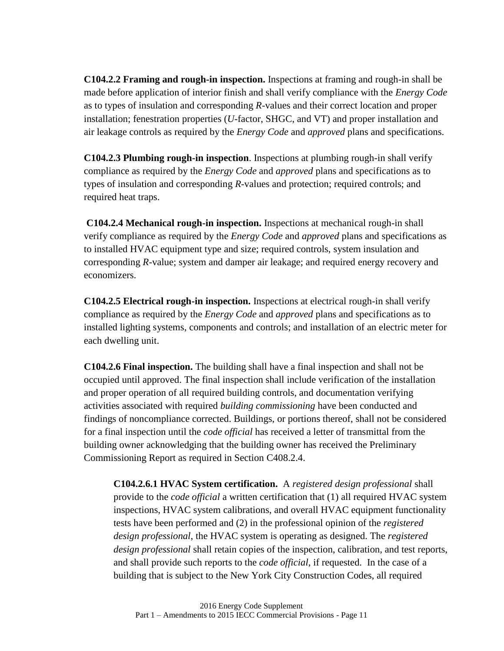**C104.2.2 Framing and rough-in inspection.** Inspections at framing and rough-in shall be made before application of interior finish and shall verify compliance with the *Energy Code* as to types of insulation and corresponding *R*-values and their correct location and proper installation; fenestration properties (*U*-factor, SHGC, and VT) and proper installation and air leakage controls as required by the *Energy Code* and *approved* plans and specifications.

**C104.2.3 Plumbing rough-in inspection**. Inspections at plumbing rough-in shall verify compliance as required by the *Energy Code* and *approved* plans and specifications as to types of insulation and corresponding *R*-values and protection; required controls; and required heat traps.

**C104.2.4 Mechanical rough-in inspection.** Inspections at mechanical rough-in shall verify compliance as required by the *Energy Code* and *approved* plans and specifications as to installed HVAC equipment type and size; required controls, system insulation and corresponding *R*-value; system and damper air leakage; and required energy recovery and economizers.

**C104.2.5 Electrical rough-in inspection.** Inspections at electrical rough-in shall verify compliance as required by the *Energy Code* and *approved* plans and specifications as to installed lighting systems, components and controls; and installation of an electric meter for each dwelling unit.

**C104.2.6 Final inspection.** The building shall have a final inspection and shall not be occupied until approved. The final inspection shall include verification of the installation and proper operation of all required building controls, and documentation verifying activities associated with required *building commissioning* have been conducted and findings of noncompliance corrected. Buildings, or portions thereof, shall not be considered for a final inspection until the *code official* has received a letter of transmittal from the building owner acknowledging that the building owner has received the Preliminary Commissioning Report as required in Section C408.2.4.

**C104.2.6.1 HVAC System certification.** A *registered design professional* shall provide to the *code official* a written certification that (1) all required HVAC system inspections, HVAC system calibrations, and overall HVAC equipment functionality tests have been performed and (2) in the professional opinion of the *registered design professional*, the HVAC system is operating as designed. The *registered design professional* shall retain copies of the inspection, calibration, and test reports, and shall provide such reports to the *code official*, if requested. In the case of a building that is subject to the New York City Construction Codes, all required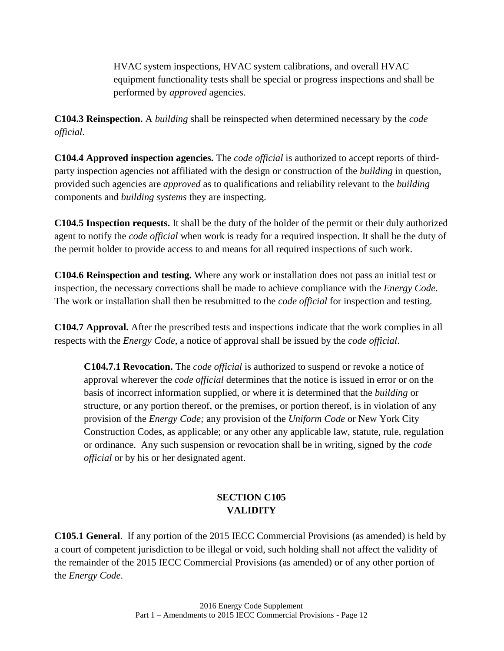HVAC system inspections, HVAC system calibrations, and overall HVAC equipment functionality tests shall be special or progress inspections and shall be performed by *approved* agencies.

**C104.3 Reinspection.** A *building* shall be reinspected when determined necessary by the *code official*.

**C104.4 Approved inspection agencies.** The *code official* is authorized to accept reports of thirdparty inspection agencies not affiliated with the design or construction of the *building* in question, provided such agencies are *approved* as to qualifications and reliability relevant to the *building* components and *building systems* they are inspecting.

**C104.5 Inspection requests.** It shall be the duty of the holder of the permit or their duly authorized agent to notify the *code official* when work is ready for a required inspection. It shall be the duty of the permit holder to provide access to and means for all required inspections of such work.

**C104.6 Reinspection and testing.** Where any work or installation does not pass an initial test or inspection, the necessary corrections shall be made to achieve compliance with the *Energy Code*. The work or installation shall then be resubmitted to the *code official* for inspection and testing.

**C104.7 Approval.** After the prescribed tests and inspections indicate that the work complies in all respects with the *Energy Code*, a notice of approval shall be issued by the *code official*.

**C104.7.1 Revocation.** The *code official* is authorized to suspend or revoke a notice of approval wherever the *code official* determines that the notice is issued in error or on the basis of incorrect information supplied, or where it is determined that the *building* or structure, or any portion thereof, or the premises, or portion thereof, is in violation of any provision of the *Energy Code;* any provision of the *Uniform Code* or New York City Construction Codes, as applicable; or any other any applicable law, statute, rule, regulation or ordinance. Any such suspension or revocation shall be in writing, signed by the *code official* or by his or her designated agent.

# **SECTION C105 VALIDITY**

**C105.1 General**. If any portion of the 2015 IECC Commercial Provisions (as amended) is held by a court of competent jurisdiction to be illegal or void, such holding shall not affect the validity of the remainder of the 2015 IECC Commercial Provisions (as amended) or of any other portion of the *Energy Code*.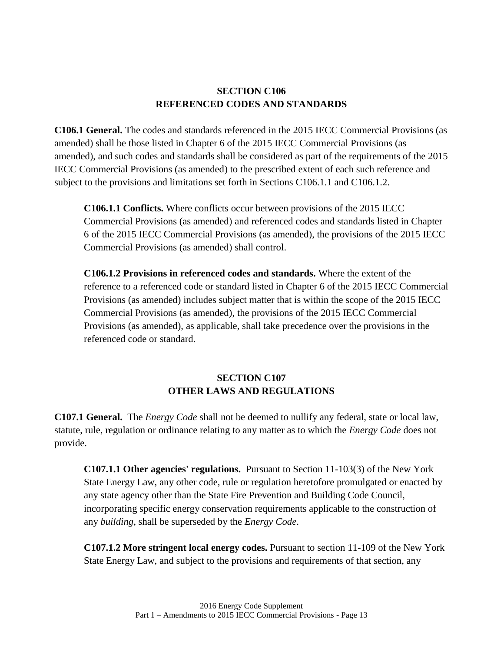### **SECTION C106 REFERENCED CODES AND STANDARDS**

**C106.1 General.** The codes and standards referenced in the 2015 IECC Commercial Provisions (as amended) shall be those listed in Chapter 6 of the 2015 IECC Commercial Provisions (as amended), and such codes and standards shall be considered as part of the requirements of the 2015 IECC Commercial Provisions (as amended) to the prescribed extent of each such reference and subject to the provisions and limitations set forth in Sections C106.1.1 and C106.1.2.

**C106.1.1 Conflicts.** Where conflicts occur between provisions of the 2015 IECC Commercial Provisions (as amended) and referenced codes and standards listed in Chapter 6 of the 2015 IECC Commercial Provisions (as amended), the provisions of the 2015 IECC Commercial Provisions (as amended) shall control.

**C106.1.2 Provisions in referenced codes and standards.** Where the extent of the reference to a referenced code or standard listed in Chapter 6 of the 2015 IECC Commercial Provisions (as amended) includes subject matter that is within the scope of the 2015 IECC Commercial Provisions (as amended), the provisions of the 2015 IECC Commercial Provisions (as amended), as applicable, shall take precedence over the provisions in the referenced code or standard.

# **SECTION C107 OTHER LAWS AND REGULATIONS**

**C107.1 General.** The *Energy Code* shall not be deemed to nullify any federal, state or local law, statute, rule, regulation or ordinance relating to any matter as to which the *Energy Code* does not provide.

**C107.1.1 Other agencies' regulations.** Pursuant to Section 11-103(3) of the New York State Energy Law, any other code, rule or regulation heretofore promulgated or enacted by any state agency other than the State Fire Prevention and Building Code Council, incorporating specific energy conservation requirements applicable to the construction of any *building*, shall be superseded by the *Energy Code*.

**C107.1.2 More stringent local energy codes.** Pursuant to section 11-109 of the New York State Energy Law, and subject to the provisions and requirements of that section, any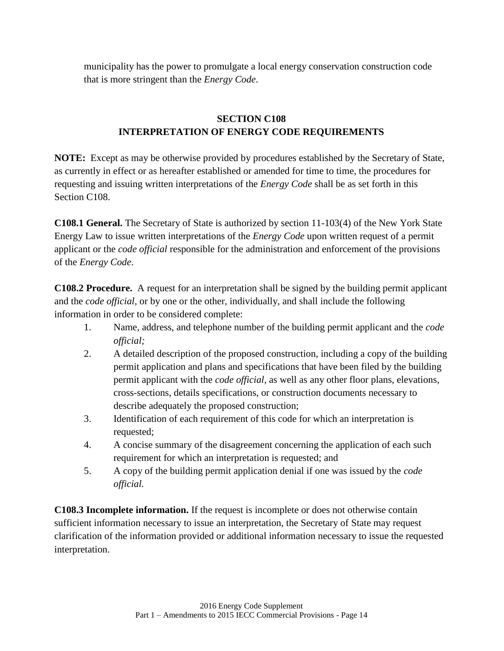municipality has the power to promulgate a local energy conservation construction code that is more stringent than the *Energy Code*.

# **SECTION C108 INTERPRETATION OF ENERGY CODE REQUIREMENTS**

**NOTE:** Except as may be otherwise provided by procedures established by the Secretary of State, as currently in effect or as hereafter established or amended for time to time, the procedures for requesting and issuing written interpretations of the *Energy Code* shall be as set forth in this Section C108.

**C108.1 General.** The Secretary of State is authorized by section 11-103(4) of the New York State Energy Law to issue written interpretations of the *Energy Code* upon written request of a permit applicant or the *code official* responsible for the administration and enforcement of the provisions of the *Energy Code*.

**C108.2 Procedure.** A request for an interpretation shall be signed by the building permit applicant and the *code official,* or by one or the other, individually, and shall include the following information in order to be considered complete:

- 1. Name, address, and telephone number of the building permit applicant and the *code official;*
- 2. A detailed description of the proposed construction, including a copy of the building permit application and plans and specifications that have been filed by the building permit applicant with the *code official,* as well as any other floor plans, elevations, cross-sections, details specifications, or construction documents necessary to describe adequately the proposed construction;
- 3. Identification of each requirement of this code for which an interpretation is requested;
- 4. A concise summary of the disagreement concerning the application of each such requirement for which an interpretation is requested; and
- 5. A copy of the building permit application denial if one was issued by the *code official.*

**C108.3 Incomplete information.** If the request is incomplete or does not otherwise contain sufficient information necessary to issue an interpretation, the Secretary of State may request clarification of the information provided or additional information necessary to issue the requested interpretation.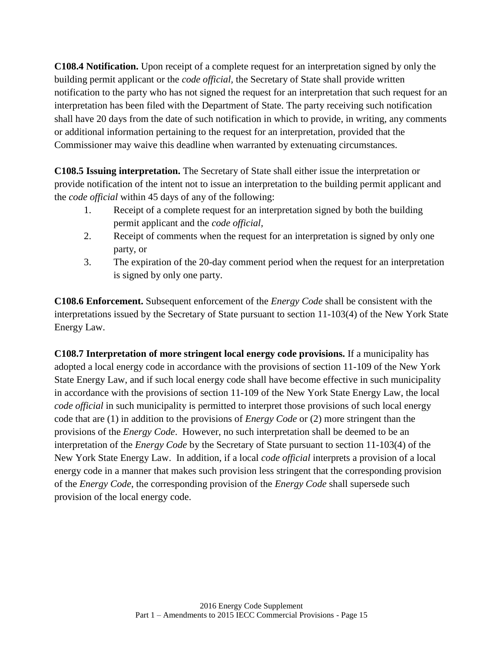**C108.4 Notification.** Upon receipt of a complete request for an interpretation signed by only the building permit applicant or the *code official,* the Secretary of State shall provide written notification to the party who has not signed the request for an interpretation that such request for an interpretation has been filed with the Department of State. The party receiving such notification shall have 20 days from the date of such notification in which to provide, in writing, any comments or additional information pertaining to the request for an interpretation, provided that the Commissioner may waive this deadline when warranted by extenuating circumstances.

**C108.5 Issuing interpretation.** The Secretary of State shall either issue the interpretation or provide notification of the intent not to issue an interpretation to the building permit applicant and the *code official* within 45 days of any of the following:

- 1. Receipt of a complete request for an interpretation signed by both the building permit applicant and the *code official,*
- 2. Receipt of comments when the request for an interpretation is signed by only one party, or
- 3. The expiration of the 20-day comment period when the request for an interpretation is signed by only one party.

**C108.6 Enforcement.** Subsequent enforcement of the *Energy Code* shall be consistent with the interpretations issued by the Secretary of State pursuant to section 11-103(4) of the New York State Energy Law.

**C108.7 Interpretation of more stringent local energy code provisions.** If a municipality has adopted a local energy code in accordance with the provisions of section 11-109 of the New York State Energy Law, and if such local energy code shall have become effective in such municipality in accordance with the provisions of section 11-109 of the New York State Energy Law, the local *code official* in such municipality is permitted to interpret those provisions of such local energy code that are (1) in addition to the provisions of *Energy Code* or (2) more stringent than the provisions of the *Energy Code*. However, no such interpretation shall be deemed to be an interpretation of the *Energy Code* by the Secretary of State pursuant to section 11-103(4) of the New York State Energy Law. In addition, if a local *code official* interprets a provision of a local energy code in a manner that makes such provision less stringent that the corresponding provision of the *Energy Code*, the corresponding provision of the *Energy Code* shall supersede such provision of the local energy code.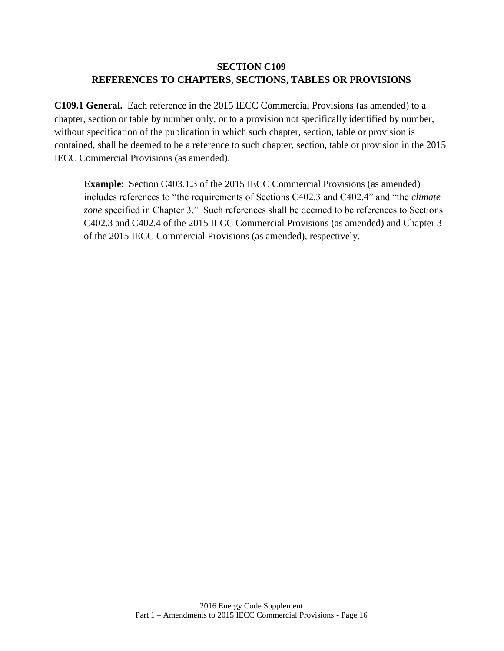# **SECTION C109 REFERENCES TO CHAPTERS, SECTIONS, TABLES OR PROVISIONS**

**C109.1 General.** Each reference in the 2015 IECC Commercial Provisions (as amended) to a chapter, section or table by number only, or to a provision not specifically identified by number, without specification of the publication in which such chapter, section, table or provision is contained, shall be deemed to be a reference to such chapter, section, table or provision in the 2015 IECC Commercial Provisions (as amended).

<span id="page-22-0"></span>**Example**: Section C403.1.3 of the 2015 IECC Commercial Provisions (as amended) includes references to "the requirements of Sections C402.3 and C402.4" and "the *climate zone* specified in Chapter 3." Such references shall be deemed to be references to Sections C402.3 and C402.4 of the 2015 IECC Commercial Provisions (as amended) and Chapter 3 of the 2015 IECC Commercial Provisions (as amended), respectively.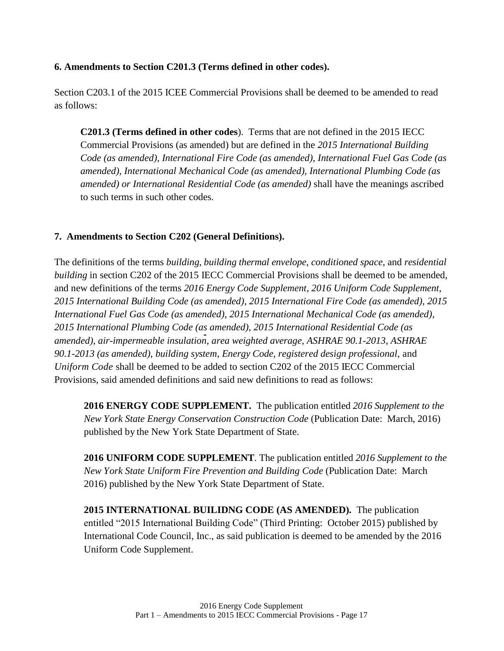### **6. Amendments to Section C201.3 (Terms defined in other codes).**

Section C203.1 of the 2015 ICEE Commercial Provisions shall be deemed to be amended to read as follows:

**C201.3 (Terms defined in other codes**). Terms that are not defined in the 2015 IECC Commercial Provisions (as amended) but are defined in the *2015 International Building Code (as amended), International Fire Code (as amended), International Fuel Gas Code (as amended), International Mechanical Code (as amended), International Plumbing Code (as amended) or International Residential Code (as amended)* shall have the meanings ascribed to such terms in such other codes.

### <span id="page-23-0"></span>**7. Amendments to Section C202 (General Definitions).**

The definitions of the terms *building*, *building thermal envelope*, *conditioned space*, and *residential building* in section C202 of the 2015 IECC Commercial Provisions shall be deemed to be amended, and new definitions of the terms *2016 Energy Code Supplement*, *2016 Uniform Code Supplement*, *2015 International Building Code (as amended)*, *2015 International Fire Code (as amended)*, *2015 International Fuel Gas Code (as amended)*, *2015 International Mechanical Code (as amended)*, *2015 International Plumbing Code (as amended)*, *2015 International Residential Code (as amended)*, *air-impermeable insulation*, *area weighted average*, *ASHRAE 90.1-2013*, *ASHRAE 90.1-2013 (as amended)*, *building system*, *Energy Code*, *registered design professional*, and *Uniform Code* shall be deemed to be added to section C202 of the 2015 IECC Commercial Provisions, said amended definitions and said new definitions to read as follows:

**2016 ENERGY CODE SUPPLEMENT.** The publication entitled *2016 Supplement to the New York State Energy Conservation Construction Code* (Publication Date: March, 2016) published by the New York State Department of State.

**2016 UNIFORM CODE SUPPLEMENT**. The publication entitled *2016 Supplement to the New York State Uniform Fire Prevention and Building Code* (Publication Date: March 2016) published by the New York State Department of State.

**2015 INTERNATIONAL BUILIDNG CODE (AS AMENDED).** The publication entitled "2015 International Building Code" (Third Printing: October 2015) published by International Code Council, Inc., as said publication is deemed to be amended by the 2016 Uniform Code Supplement.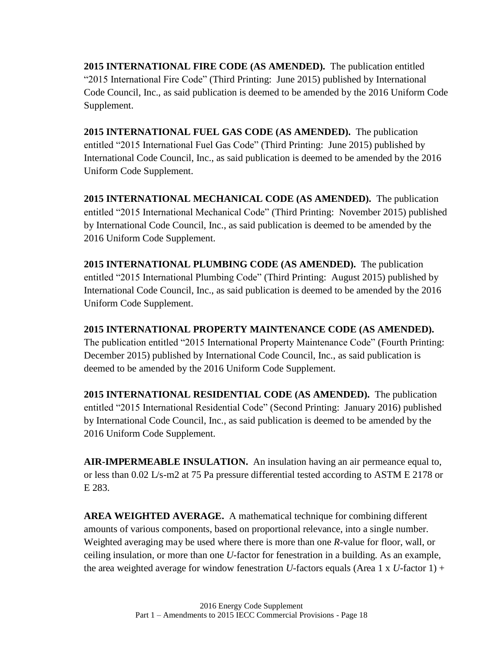**2015 INTERNATIONAL FIRE CODE (AS AMENDED).** The publication entitled "2015 International Fire Code" (Third Printing: June 2015) published by International Code Council, Inc., as said publication is deemed to be amended by the 2016 Uniform Code Supplement.

**2015 INTERNATIONAL FUEL GAS CODE (AS AMENDED).** The publication entitled "2015 International Fuel Gas Code" (Third Printing: June 2015) published by International Code Council, Inc., as said publication is deemed to be amended by the 2016 Uniform Code Supplement.

**2015 INTERNATIONAL MECHANICAL CODE (AS AMENDED).** The publication entitled "2015 International Mechanical Code" (Third Printing: November 2015) published by International Code Council, Inc., as said publication is deemed to be amended by the 2016 Uniform Code Supplement.

**2015 INTERNATIONAL PLUMBING CODE (AS AMENDED).** The publication entitled "2015 International Plumbing Code" (Third Printing: August 2015) published by International Code Council, Inc., as said publication is deemed to be amended by the 2016 Uniform Code Supplement.

**2015 INTERNATIONAL PROPERTY MAINTENANCE CODE (AS AMENDED).** The publication entitled "2015 International Property Maintenance Code" (Fourth Printing: December 2015) published by International Code Council, Inc., as said publication is deemed to be amended by the 2016 Uniform Code Supplement.

**2015 INTERNATIONAL RESIDENTIAL CODE (AS AMENDED).** The publication entitled "2015 International Residential Code" (Second Printing: January 2016) published by International Code Council, Inc., as said publication is deemed to be amended by the 2016 Uniform Code Supplement.

**AIR-IMPERMEABLE INSULATION.** An insulation having an air permeance equal to, or less than 0.02 L/s-m2 at 75 Pa pressure differential tested according to ASTM E 2178 or E 283.

**AREA WEIGHTED AVERAGE.** A mathematical technique for combining different amounts of various components, based on proportional relevance, into a single number. Weighted averaging may be used where there is more than one *R*-value for floor, wall, or ceiling insulation, or more than one *U*-factor for fenestration in a building. As an example, the area weighted average for window fenestration *U*-factors equals (Area 1 x *U*-factor 1) +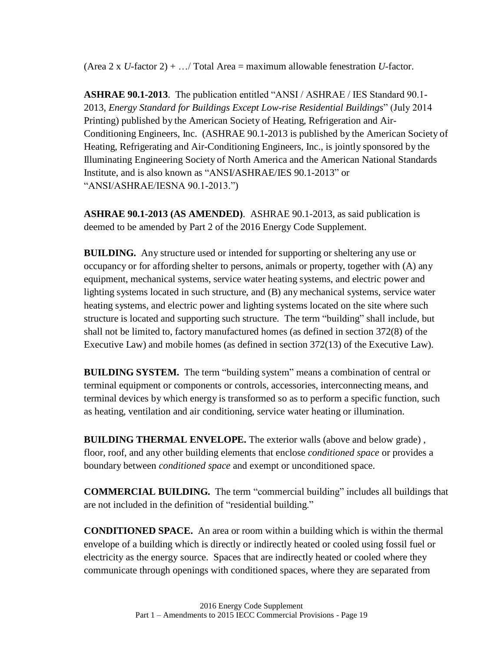(Area 2 x *U*-factor 2) + …/ Total Area = maximum allowable fenestration *U*-factor.

**ASHRAE 90.1-2013**. The publication entitled "ANSI / ASHRAE / IES Standard 90.1- 2013, *Energy Standard for Buildings Except Low-rise Residential Buildings*" (July 2014 Printing) published by the American Society of Heating, Refrigeration and Air-Conditioning Engineers, Inc. (ASHRAE 90.1-2013 is published by the American Society of Heating, Refrigerating and Air-Conditioning Engineers, Inc., is jointly sponsored by the Illuminating Engineering Society of North America and the American National Standards Institute, and is also known as "ANSI/ASHRAE/IES 90.1-2013" or "ANSI/ASHRAE/IESNA 90.1-2013.")

**ASHRAE 90.1-2013 (AS AMENDED)**. ASHRAE 90.1-2013, as said publication is deemed to be amended by Part 2 of the 2016 Energy Code Supplement.

**BUILDING.** Any structure used or intended for supporting or sheltering any use or occupancy or for affording shelter to persons, animals or property, together with (A) any equipment, mechanical systems, service water heating systems, and electric power and lighting systems located in such structure, and (B) any mechanical systems, service water heating systems, and electric power and lighting systems located on the site where such structure is located and supporting such structure. The term "building" shall include, but shall not be limited to, factory manufactured homes (as defined in section 372(8) of the Executive Law) and mobile homes (as defined in section 372(13) of the Executive Law).

**BUILDING SYSTEM.** The term "building system" means a combination of central or terminal equipment or components or controls, accessories, interconnecting means, and terminal devices by which energy is transformed so as to perform a specific function, such as heating, ventilation and air conditioning, service water heating or illumination.

**BUILDING THERMAL ENVELOPE.** The exterior walls (above and below grade) , floor, roof, and any other building elements that enclose *conditioned space* or provides a boundary between *conditioned space* and exempt or unconditioned space.

**COMMERCIAL BUILDING.** The term "commercial building" includes all buildings that are not included in the definition of "residential building."

**CONDITIONED SPACE.** An area or room within a building which is within the thermal envelope of a building which is directly or indirectly heated or cooled using fossil fuel or electricity as the energy source. Spaces that are indirectly heated or cooled where they communicate through openings with conditioned spaces, where they are separated from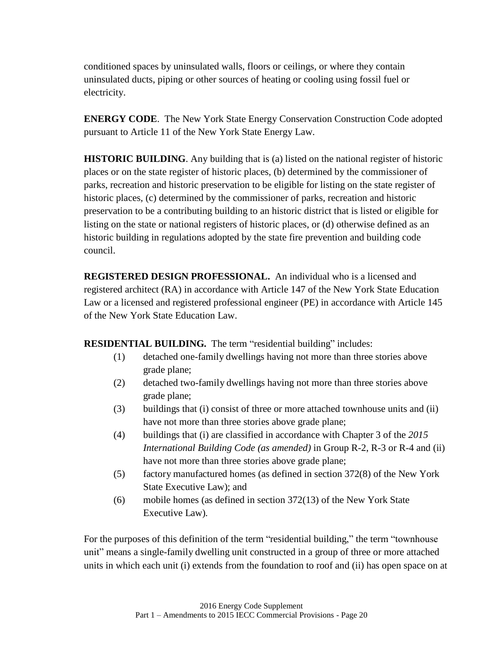conditioned spaces by uninsulated walls, floors or ceilings, or where they contain uninsulated ducts, piping or other sources of heating or cooling using fossil fuel or electricity.

**ENERGY CODE**. The New York State Energy Conservation Construction Code adopted pursuant to Article 11 of the New York State Energy Law.

**HISTORIC BUILDING**. Any building that is (a) listed on the national register of historic places or on the state register of historic places, (b) determined by the commissioner of parks, recreation and historic preservation to be eligible for listing on the state register of historic places, (c) determined by the commissioner of parks, recreation and historic preservation to be a contributing building to an historic district that is listed or eligible for listing on the state or national registers of historic places, or (d) otherwise defined as an historic building in regulations adopted by the state fire prevention and building code council.

**REGISTERED DESIGN PROFESSIONAL.** An individual who is a licensed and registered architect (RA) in accordance with Article 147 of the New York State Education Law or a licensed and registered professional engineer (PE) in accordance with Article 145 of the New York State Education Law.

**RESIDENTIAL BUILDING.** The term "residential building" includes:

- (1) detached one-family dwellings having not more than three stories above grade plane;
- (2) detached two-family dwellings having not more than three stories above grade plane;
- (3) buildings that (i) consist of three or more attached townhouse units and (ii) have not more than three stories above grade plane;
- (4) buildings that (i) are classified in accordance with Chapter 3 of the *2015 International Building Code (as amended)* in Group R-2, R-3 or R-4 and (ii) have not more than three stories above grade plane;
- (5) factory manufactured homes (as defined in section 372(8) of the New York State Executive Law); and
- (6) mobile homes (as defined in section 372(13) of the New York State Executive Law).

For the purposes of this definition of the term "residential building," the term "townhouse unit" means a single-family dwelling unit constructed in a group of three or more attached units in which each unit (i) extends from the foundation to roof and (ii) has open space on at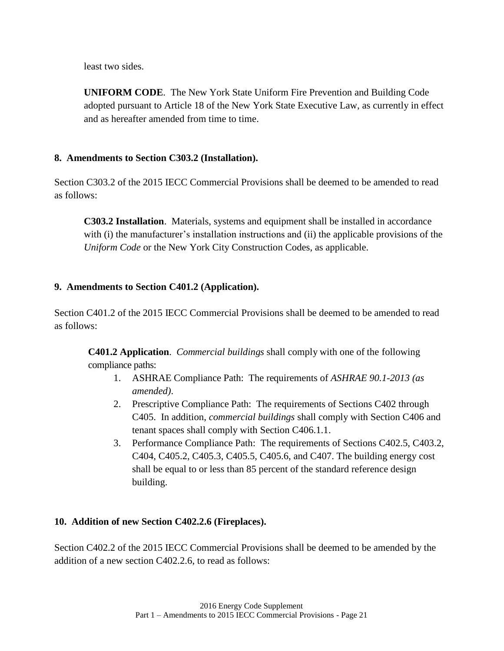least two sides.

**UNIFORM CODE**. The New York State Uniform Fire Prevention and Building Code adopted pursuant to Article 18 of the New York State Executive Law, as currently in effect and as hereafter amended from time to time.

### <span id="page-27-0"></span>**8. Amendments to Section C303.2 (Installation).**

Section C303.2 of the 2015 IECC Commercial Provisions shall be deemed to be amended to read as follows:

**C303.2 Installation**. Materials, systems and equipment shall be installed in accordance with (i) the manufacturer's installation instructions and (ii) the applicable provisions of the *Uniform Code* or the New York City Construction Codes, as applicable.

### <span id="page-27-1"></span>**9. Amendments to Section C401.2 (Application).**

Section C401.2 of the 2015 IECC Commercial Provisions shall be deemed to be amended to read as follows:

**C401.2 Application**. *Commercial buildings* shall comply with one of the following compliance paths:

- 1. ASHRAE Compliance Path: The requirements of *ASHRAE 90.1-2013 (as amended)*.
- 2. Prescriptive Compliance Path: The requirements of Sections C402 through C405. In addition, *commercial buildings* shall comply with Section C406 and tenant spaces shall comply with Section C406.1.1.
- 3. Performance Compliance Path: The requirements of Sections C402.5, C403.2, C404, C405.2, C405.3, C405.5, C405.6, and C407. The building energy cost shall be equal to or less than 85 percent of the standard reference design building.

### <span id="page-27-2"></span>**10. Addition of new Section C402.2.6 (Fireplaces).**

Section C402.2 of the 2015 IECC Commercial Provisions shall be deemed to be amended by the addition of a new section C402.2.6, to read as follows: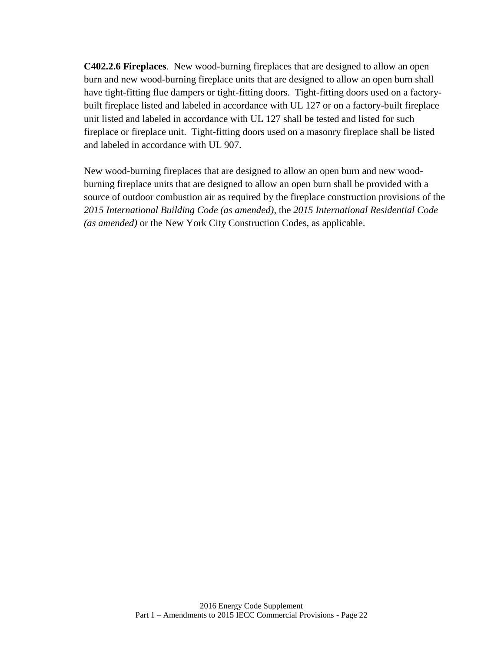**C402.2.6 Fireplaces**. New wood-burning fireplaces that are designed to allow an open burn and new wood-burning fireplace units that are designed to allow an open burn shall have tight-fitting flue dampers or tight-fitting doors. Tight-fitting doors used on a factorybuilt fireplace listed and labeled in accordance with UL 127 or on a factory-built fireplace unit listed and labeled in accordance with UL 127 shall be tested and listed for such fireplace or fireplace unit. Tight-fitting doors used on a masonry fireplace shall be listed and labeled in accordance with UL 907.

New wood-burning fireplaces that are designed to allow an open burn and new woodburning fireplace units that are designed to allow an open burn shall be provided with a source of outdoor combustion air as required by the fireplace construction provisions of the *2015 International Building Code (as amended)*, the *2015 International Residential Code (as amended)* or the New York City Construction Codes, as applicable.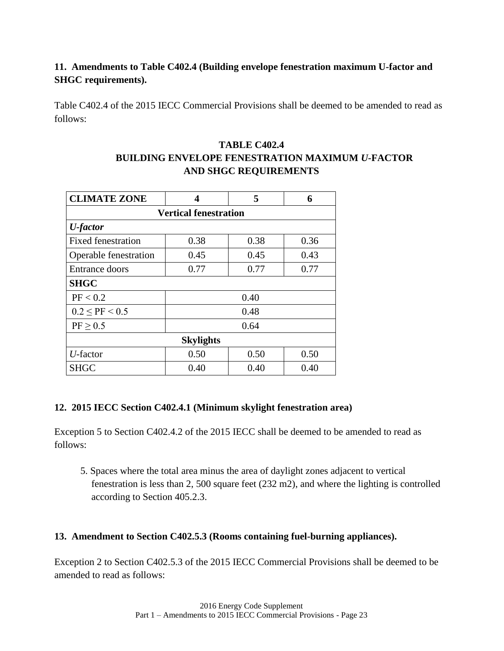# <span id="page-29-0"></span>**11. Amendments to Table C402.4 (Building envelope fenestration maximum U-factor and SHGC requirements).**

Table C402.4 of the 2015 IECC Commercial Provisions shall be deemed to be amended to read as follows:

# **TABLE C402.4 BUILDING ENVELOPE FENESTRATION MAXIMUM** *U***-FACTOR AND SHGC REQUIREMENTS**

| <b>CLIMATE ZONE</b>          | 4    | 5    | 6    |  |
|------------------------------|------|------|------|--|
| <b>Vertical fenestration</b> |      |      |      |  |
| <b>U</b> -factor             |      |      |      |  |
| <b>Fixed fenestration</b>    | 0.38 | 0.38 | 0.36 |  |
| Operable fenestration        | 0.45 | 0.45 | 0.43 |  |
| Entrance doors               | 0.77 | 0.77 | 0.77 |  |
| <b>SHGC</b>                  |      |      |      |  |
| PF < 0.2                     | 0.40 |      |      |  |
| $0.2 <$ PF $< 0.5$           | 0.48 |      |      |  |
| PF > 0.5                     | 0.64 |      |      |  |
| <b>Skylights</b>             |      |      |      |  |
| $U$ -factor                  | 0.50 | 0.50 | 0.50 |  |
| <b>SHGC</b>                  | 0.40 | 0.40 | 0.40 |  |

### <span id="page-29-1"></span>**12. 2015 IECC Section C402.4.1 (Minimum skylight fenestration area)**

Exception 5 to Section C402.4.2 of the 2015 IECC shall be deemed to be amended to read as follows:

5. Spaces where the total area minus the area of daylight zones adjacent to vertical fenestration is less than 2, 500 square feet (232 m2), and where the lighting is controlled according to Section 405.2.3.

### <span id="page-29-2"></span>**13. Amendment to Section C402.5.3 (Rooms containing fuel-burning appliances).**

Exception 2 to Section C402.5.3 of the 2015 IECC Commercial Provisions shall be deemed to be amended to read as follows: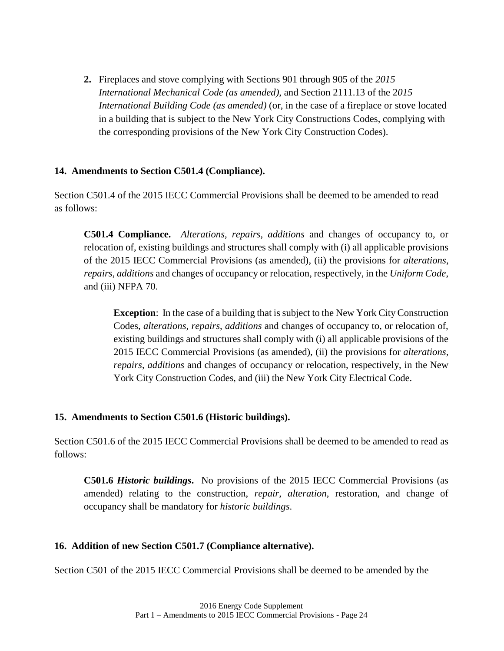**2.** Fireplaces and stove complying with Sections 901 through 905 of the *2015 International Mechanical Code (as amended)*, and Section 2111.13 of the 2*015 International Building Code (as amended)* (or, in the case of a fireplace or stove located in a building that is subject to the New York City Constructions Codes, complying with the corresponding provisions of the New York City Construction Codes).

### <span id="page-30-0"></span>**14. Amendments to Section C501.4 (Compliance).**

Section C501.4 of the 2015 IECC Commercial Provisions shall be deemed to be amended to read as follows:

**C501.4 Compliance.** *Alterations*, *repairs*, *additions* and changes of occupancy to, or relocation of, existing buildings and structures shall comply with (i) all applicable provisions of the 2015 IECC Commercial Provisions (as amended), (ii) the provisions for *alterations*, *repairs*, *additions* and changes of occupancy or relocation, respectively, in the *Uniform Code*, and (iii) NFPA 70.

**Exception**: In the case of a building that is subject to the New York City Construction Codes, *alterations*, *repairs*, *additions* and changes of occupancy to, or relocation of, existing buildings and structures shall comply with (i) all applicable provisions of the 2015 IECC Commercial Provisions (as amended), (ii) the provisions for *alterations*, *repairs*, *additions* and changes of occupancy or relocation, respectively, in the New York City Construction Codes, and (iii) the New York City Electrical Code.

### <span id="page-30-1"></span>**15. Amendments to Section C501.6 (Historic buildings).**

Section C501.6 of the 2015 IECC Commercial Provisions shall be deemed to be amended to read as follows:

**C501.6** *Historic buildings***.** No provisions of the 2015 IECC Commercial Provisions (as amended) relating to the construction, *repair*, *alteration*, restoration, and change of occupancy shall be mandatory for *historic buildings*.

### <span id="page-30-2"></span>**16. Addition of new Section C501.7 (Compliance alternative).**

Section C501 of the 2015 IECC Commercial Provisions shall be deemed to be amended by the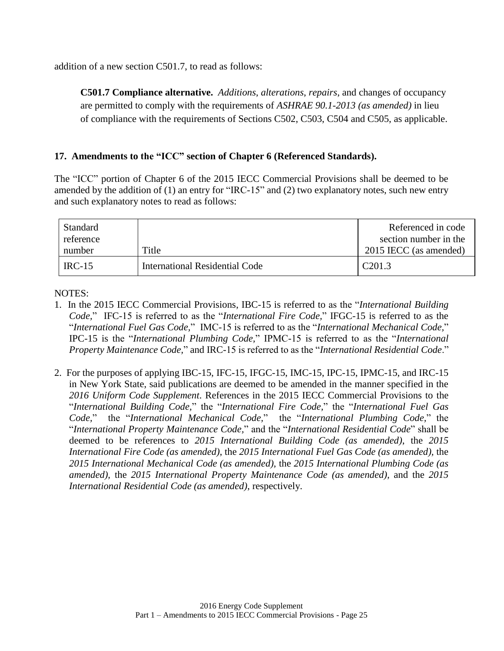addition of a new section C501.7, to read as follows:

**C501.7 Compliance alternative.** *Additions*, *alterations*, *repairs*, and changes of occupancy are permitted to comply with the requirements of *ASHRAE 90.1-2013 (as amended)* in lieu of compliance with the requirements of Sections C502, C503, C504 and C505, as applicable.

### <span id="page-31-0"></span>**17. Amendments to the "ICC" section of Chapter 6 (Referenced Standards).**

The "ICC" portion of Chapter 6 of the 2015 IECC Commercial Provisions shall be deemed to be amended by the addition of (1) an entry for "IRC-15" and (2) two explanatory notes, such new entry and such explanatory notes to read as follows:

| <b>Standard</b> |                                | Referenced in code     |
|-----------------|--------------------------------|------------------------|
| reference       |                                | section number in the  |
| number          | Title                          | 2015 IECC (as amended) |
| $IRC-15$        | International Residential Code | C <sub>201.3</sub>     |

NOTES:

- 1. In the 2015 IECC Commercial Provisions, IBC-15 is referred to as the "*International Building Code,*" IFC-15 is referred to as the "*International Fire Code,*" IFGC-15 is referred to as the "*International Fuel Gas Code,*" IMC-15 is referred to as the "*International Mechanical Code,*" IPC-15 is the "*International Plumbing Code,*" IPMC-15 is referred to as the "*International Property Maintenance Code,*" and IRC-15 is referred to as the "*International Residential Code*."
- <span id="page-31-1"></span>2. For the purposes of applying IBC-15, IFC-15, IFGC-15, IMC-15, IPC-15, IPMC-15, and IRC-15 in New York State, said publications are deemed to be amended in the manner specified in the *2016 Uniform Code Supplement*. References in the 2015 IECC Commercial Provisions to the "*International Building Code,*" the "*International Fire Code,*" the "*International Fuel Gas Code,*" the "*International Mechanical Code,*" the "*International Plumbing Code,*" the "*International Property Maintenance Code,*" and the "*International Residential Code*" shall be deemed to be references to *2015 International Building Code (as amended)*, the *2015 International Fire Code (as amended)*, the *2015 International Fuel Gas Code (as amended),* the *2015 International Mechanical Code (as amended),* the *2015 International Plumbing Code (as amended),* the *2015 International Property Maintenance Code (as amended),* and the *2015 International Residential Code (as amended)*, respectively.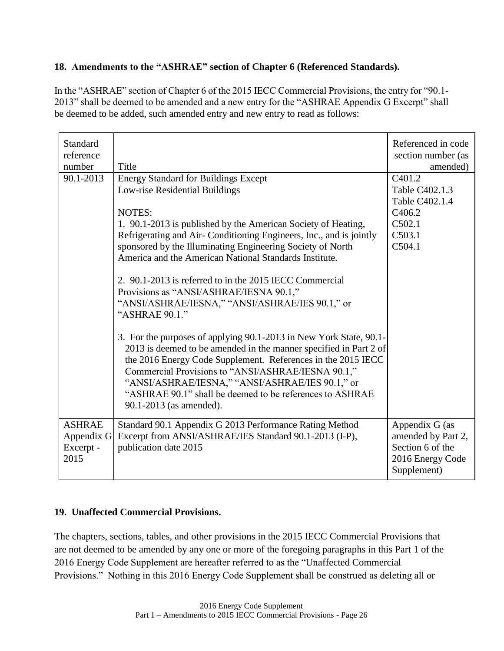# **18. Amendments to the "ASHRAE" section of Chapter 6 (Referenced Standards).**

In the "ASHRAE" section of Chapter 6 of the 2015 IECC Commercial Provisions, the entry for "90.1- 2013" shall be deemed to be amended and a new entry for the "ASHRAE Appendix G Excerpt" shall be deemed to be added, such amended entry and new entry to read as follows:

| Standard<br>reference |                                                                    | Referenced in code<br>section number (as |
|-----------------------|--------------------------------------------------------------------|------------------------------------------|
| number                | Title                                                              | amended)                                 |
| 90.1-2013             | <b>Energy Standard for Buildings Except</b>                        | C <sub>401.2</sub>                       |
|                       | Low-rise Residential Buildings                                     | Table C402.1.3                           |
|                       |                                                                    | Table C402.1.4                           |
|                       | <b>NOTES:</b>                                                      | C <sub>4</sub> 06.2                      |
|                       | 1. 90.1-2013 is published by the American Society of Heating,      | C502.1                                   |
|                       | Refrigerating and Air-Conditioning Engineers, Inc., and is jointly | C503.1                                   |
|                       | sponsored by the Illuminating Engineering Society of North         | C504.1                                   |
|                       | America and the American National Standards Institute.             |                                          |
|                       |                                                                    |                                          |
|                       | 2. 90.1-2013 is referred to in the 2015 IECC Commercial            |                                          |
|                       | Provisions as "ANSI/ASHRAE/IESNA 90.1,"                            |                                          |
|                       | "ANSI/ASHRAE/IESNA," "ANSI/ASHRAE/IES 90.1," or                    |                                          |
|                       | "ASHRAE 90.1."                                                     |                                          |
|                       |                                                                    |                                          |
|                       | 3. For the purposes of applying 90.1-2013 in New York State, 90.1- |                                          |
|                       | 2013 is deemed to be amended in the manner specified in Part 2 of  |                                          |
|                       | the 2016 Energy Code Supplement. References in the 2015 IECC       |                                          |
|                       | Commercial Provisions to "ANSI/ASHRAE/IESNA 90.1,"                 |                                          |
|                       | "ANSI/ASHRAE/IESNA," "ANSI/ASHRAE/IES 90.1," or                    |                                          |
|                       | "ASHRAE 90.1" shall be deemed to be references to ASHRAE           |                                          |
|                       |                                                                    |                                          |
|                       | 90.1-2013 (as amended).                                            |                                          |
| <b>ASHRAE</b>         | Standard 90.1 Appendix G 2013 Performance Rating Method            | Appendix G (as                           |
| Appendix G            | Excerpt from ANSI/ASHRAE/IES Standard 90.1-2013 (I-P),             | amended by Part 2,                       |
| Excerpt -             | publication date 2015                                              | Section 6 of the                         |
| 2015                  |                                                                    | 2016 Energy Code                         |
|                       |                                                                    | Supplement)                              |
|                       |                                                                    |                                          |

### <span id="page-32-0"></span>**19. Unaffected Commercial Provisions.**

The chapters, sections, tables, and other provisions in the 2015 IECC Commercial Provisions that are not deemed to be amended by any one or more of the foregoing paragraphs in this Part 1 of the 2016 Energy Code Supplement are hereafter referred to as the "Unaffected Commercial Provisions." Nothing in this 2016 Energy Code Supplement shall be construed as deleting all or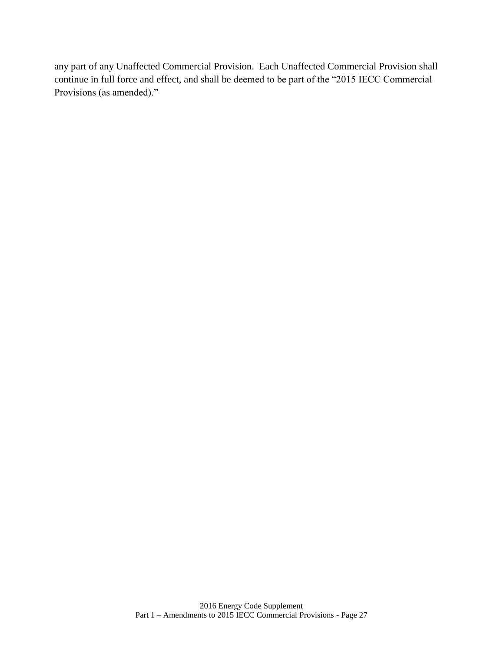any part of any Unaffected Commercial Provision. Each Unaffected Commercial Provision shall continue in full force and effect, and shall be deemed to be part of the "2015 IECC Commercial Provisions (as amended)."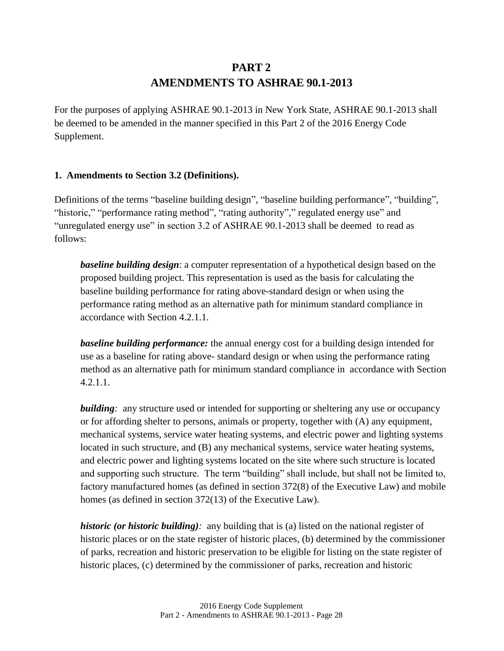# **PART 2 AMENDMENTS TO ASHRAE 90.1-2013**

<span id="page-34-1"></span><span id="page-34-0"></span>For the purposes of applying ASHRAE 90.1-2013 in New York State, ASHRAE 90.1-2013 shall be deemed to be amended in the manner specified in this Part 2 of the 2016 Energy Code Supplement.

### <span id="page-34-2"></span>**1. Amendments to Section 3.2 (Definitions).**

Definitions of the terms "baseline building design", "baseline building performance", "building", "historic," "performance rating method", "rating authority"," regulated energy use" and "unregulated energy use" in section 3.2 of ASHRAE 90.1-2013 shall be deemed to read as follows:

*baseline building design*: a computer representation of a hypothetical design based on the proposed building project. This representation is used as the basis for calculating the baseline building performance for rating above-standard design or when using the performance rating method as an alternative path for minimum standard compliance in accordance with Section 4.2.1.1.

*baseline building performance:* the annual energy cost for a building design intended for use as a baseline for rating above- standard design or when using the performance rating method as an alternative path for minimum standard compliance in accordance with Section 4.2.1.1.

*building*: any structure used or intended for supporting or sheltering any use or occupancy or for affording shelter to persons, animals or property, together with (A) any equipment, mechanical systems, service water heating systems, and electric power and lighting systems located in such structure, and (B) any mechanical systems, service water heating systems, and electric power and lighting systems located on the site where such structure is located and supporting such structure. The term "building" shall include, but shall not be limited to, factory manufactured homes (as defined in section 372(8) of the Executive Law) and mobile homes (as defined in section 372(13) of the Executive Law).

*historic (or historic building):* any building that is (a) listed on the national register of historic places or on the state register of historic places, (b) determined by the commissioner of parks, recreation and historic preservation to be eligible for listing on the state register of historic places, (c) determined by the commissioner of parks, recreation and historic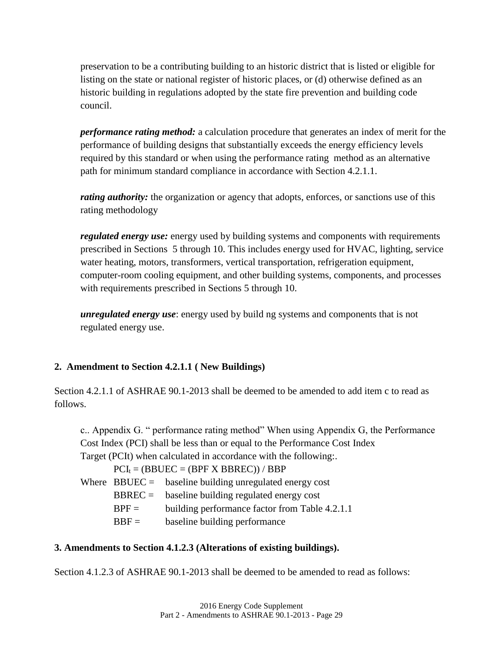preservation to be a contributing building to an historic district that is listed or eligible for listing on the state or national register of historic places, or (d) otherwise defined as an historic building in regulations adopted by the state fire prevention and building code council.

*performance rating method:* a calculation procedure that generates an index of merit for the performance of building designs that substantially exceeds the energy efficiency levels required by this standard or when using the performance rating method as an alternative path for minimum standard compliance in accordance with Section 4.2.1.1.

*rating authority:* the organization or agency that adopts, enforces, or sanctions use of this rating methodology

*regulated energy use:* energy used by building systems and components with requirements prescribed in Sections 5 through 10. This includes energy used for HVAC, lighting, service water heating, motors, transformers, vertical transportation, refrigeration equipment, computer-room cooling equipment, and other building systems, components, and processes with requirements prescribed in Sections 5 through 10.

*unregulated energy use*: energy used by build ng systems and components that is not regulated energy use.

### <span id="page-35-0"></span>**2. Amendment to Section 4.2.1.1 ( New Buildings)**

Section 4.2.1.1 of ASHRAE 90.1-2013 shall be deemed to be amended to add item c to read as follows.

c.. Appendix G. " performance rating method" When using Appendix G, the Performance Cost Index (PCI) shall be less than or equal to the Performance Cost Index Target (PCIt) when calculated in accordance with the following:.

 $PCI_t = (BBUEC = (BPF X BBREC)) / BBP$ Where  $BBUEC =$  baseline building unregulated energy cost  $BBREC = 0$  baseline building regulated energy cost  $BPF =$  building performance factor from Table 4.2.1.1  $BBF =$  baseline building performance

### <span id="page-35-1"></span>**3. Amendments to Section 4.1.2.3 (Alterations of existing buildings).**

Section 4.1.2.3 of ASHRAE 90.1-2013 shall be deemed to be amended to read as follows: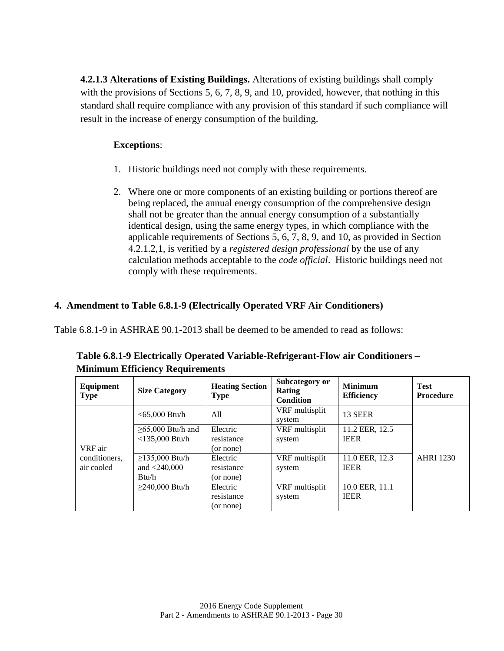**4.2.1.3 Alterations of Existing Buildings.** Alterations of existing buildings shall comply with the provisions of Sections 5, 6, 7, 8, 9, and 10, provided, however, that nothing in this standard shall require compliance with any provision of this standard if such compliance will result in the increase of energy consumption of the building.

### **Exceptions**:

- 1. Historic buildings need not comply with these requirements.
- 2. Where one or more components of an existing building or portions thereof are being replaced, the annual energy consumption of the comprehensive design shall not be greater than the annual energy consumption of a substantially identical design, using the same energy types, in which compliance with the applicable requirements of Sections 5, 6, 7, 8, 9, and 10, as provided in Section 4.2.1.2,1, is verified by a *registered design professional* by the use of any calculation methods acceptable to the *code official*. Historic buildings need not comply with these requirements.

# <span id="page-36-0"></span>**4. Amendment to Table 6.8.1-9 (Electrically Operated VRF Air Conditioners)**

Table 6.8.1-9 in ASHRAE 90.1-2013 shall be deemed to be amended to read as follows:

| Equipment<br><b>Type</b> | <b>Size Category</b>    | <b>Heating Section</b><br><b>Type</b> | Subcategory or<br><b>Rating</b><br><b>Condition</b> | <b>Minimum</b><br><b>Efficiency</b> | <b>Test</b><br><b>Procedure</b> |
|--------------------------|-------------------------|---------------------------------------|-----------------------------------------------------|-------------------------------------|---------------------------------|
|                          | $<$ 65,000 Btu/h        | All                                   | VRF multisplit<br>system                            | 13 SEER                             |                                 |
|                          | $\geq 65,000$ Btu/h and | Electric                              | VRF multisplit                                      | 11.2 EER, 12.5                      |                                 |
|                          | $<$ 135,000 Btu/h       | resistance                            | system                                              | <b>IEER</b>                         |                                 |
| VRF air                  |                         | (or none)                             |                                                     |                                     |                                 |
| conditioners,            | $≥135,000$ Btu/h        | Electric                              | VRF multisplit                                      | 11.0 EER, 12.3                      | <b>AHRI</b> 1230                |
| air cooled               | and $<$ 240,000         | resistance                            | system                                              | <b>IEER</b>                         |                                 |
|                          | Btu/h                   | (or none)                             |                                                     |                                     |                                 |
|                          | $≥$ 240,000 Btu/h       | Electric                              | VRF multisplit                                      | 10.0 EER, 11.1                      |                                 |
|                          |                         | resistance                            | system                                              | <b>IEER</b>                         |                                 |
|                          |                         | (or none)                             |                                                     |                                     |                                 |

**Table 6.8.1-9 Electrically Operated Variable-Refrigerant-Flow air Conditioners – Minimum Efficiency Requirements**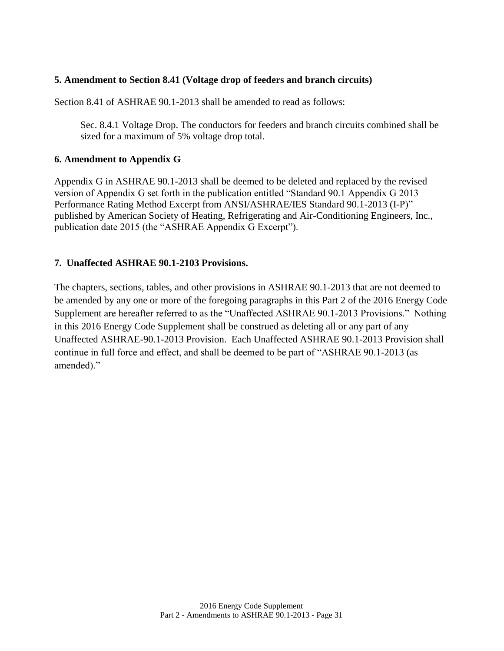### <span id="page-37-0"></span>**5. Amendment to Section 8.41 (Voltage drop of feeders and branch circuits)**

Section 8.41 of ASHRAE 90.1-2013 shall be amended to read as follows:

Sec. 8.4.1 Voltage Drop. The conductors for feeders and branch circuits combined shall be sized for a maximum of 5% voltage drop total.

### <span id="page-37-1"></span>**6. Amendment to Appendix G**

Appendix G in ASHRAE 90.1-2013 shall be deemed to be deleted and replaced by the revised version of Appendix G set forth in the publication entitled "Standard 90.1 Appendix G 2013 Performance Rating Method Excerpt from ANSI/ASHRAE/IES Standard 90.1-2013 (I-P)" published by American Society of Heating, Refrigerating and Air-Conditioning Engineers, Inc., publication date 2015 (the "ASHRAE Appendix G Excerpt").

### <span id="page-37-2"></span>**7. Unaffected ASHRAE 90.1-2103 Provisions.**

The chapters, sections, tables, and other provisions in ASHRAE 90.1-2013 that are not deemed to be amended by any one or more of the foregoing paragraphs in this Part 2 of the 2016 Energy Code Supplement are hereafter referred to as the "Unaffected ASHRAE 90.1-2013 Provisions." Nothing in this 2016 Energy Code Supplement shall be construed as deleting all or any part of any Unaffected ASHRAE-90.1-2013 Provision. Each Unaffected ASHRAE 90.1-2013 Provision shall continue in full force and effect, and shall be deemed to be part of "ASHRAE 90.1-2013 (as amended)."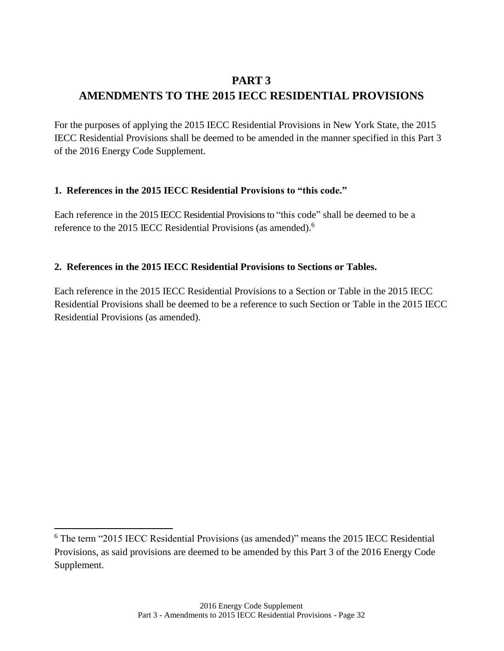# <span id="page-38-1"></span><span id="page-38-0"></span>**PART 3 AMENDMENTS TO THE 2015 IECC RESIDENTIAL PROVISIONS**

For the purposes of applying the 2015 IECC Residential Provisions in New York State, the 2015 IECC Residential Provisions shall be deemed to be amended in the manner specified in this Part 3 of the 2016 Energy Code Supplement.

### <span id="page-38-2"></span>**1. References in the 2015 IECC Residential Provisions to "this code."**

Each reference in the 2015 IECC Residential Provisions to "this code" shall be deemed to be a reference to the 2015 IECC Residential Provisions (as amended).<sup>6</sup>

# <span id="page-38-3"></span>**2. References in the 2015 IECC Residential Provisions to Sections or Tables.**

Each reference in the 2015 IECC Residential Provisions to a Section or Table in the 2015 IECC Residential Provisions shall be deemed to be a reference to such Section or Table in the 2015 IECC Residential Provisions (as amended).

 $\overline{\phantom{a}}$ 

<sup>6</sup> The term "2015 IECC Residential Provisions (as amended)" means the 2015 IECC Residential Provisions, as said provisions are deemed to be amended by this Part 3 of the 2016 Energy Code Supplement.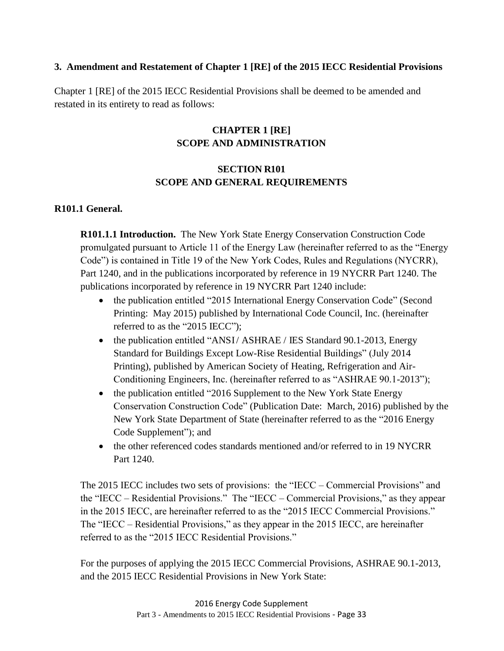### <span id="page-39-0"></span>**3. Amendment and Restatement of Chapter 1 [RE] of the 2015 IECC Residential Provisions**

Chapter 1 [RE] of the 2015 IECC Residential Provisions shall be deemed to be amended and restated in its entirety to read as follows:

# **CHAPTER 1 [RE] SCOPE AND ADMINISTRATION**

# **SECTION R101 SCOPE AND GENERAL REQUIREMENTS**

### **R101.1 General.**

**R101.1.1 Introduction.** The New York State Energy Conservation Construction Code promulgated pursuant to Article 11 of the Energy Law (hereinafter referred to as the "Energy Code") is contained in Title 19 of the New York Codes, Rules and Regulations (NYCRR), Part 1240, and in the publications incorporated by reference in 19 NYCRR Part 1240. The publications incorporated by reference in 19 NYCRR Part 1240 include:

- the publication entitled "2015 International Energy Conservation Code" (Second Printing: May 2015) published by International Code Council, Inc. (hereinafter referred to as the "2015 IECC");
- the publication entitled "ANSI/ ASHRAE / IES Standard 90.1-2013, Energy Standard for Buildings Except Low-Rise Residential Buildings" (July 2014 Printing), published by American Society of Heating, Refrigeration and Air-Conditioning Engineers, Inc. (hereinafter referred to as "ASHRAE 90.1-2013");
- the publication entitled "2016 Supplement to the New York State Energy Conservation Construction Code" (Publication Date: March, 2016) published by the New York State Department of State (hereinafter referred to as the "2016 Energy Code Supplement"); and
- the other referenced codes standards mentioned and/or referred to in 19 NYCRR Part 1240.

The 2015 IECC includes two sets of provisions: the "IECC – Commercial Provisions" and the "IECC – Residential Provisions." The "IECC – Commercial Provisions," as they appear in the 2015 IECC, are hereinafter referred to as the "2015 IECC Commercial Provisions." The "IECC – Residential Provisions," as they appear in the 2015 IECC, are hereinafter referred to as the "2015 IECC Residential Provisions."

For the purposes of applying the 2015 IECC Commercial Provisions, ASHRAE 90.1-2013, and the 2015 IECC Residential Provisions in New York State: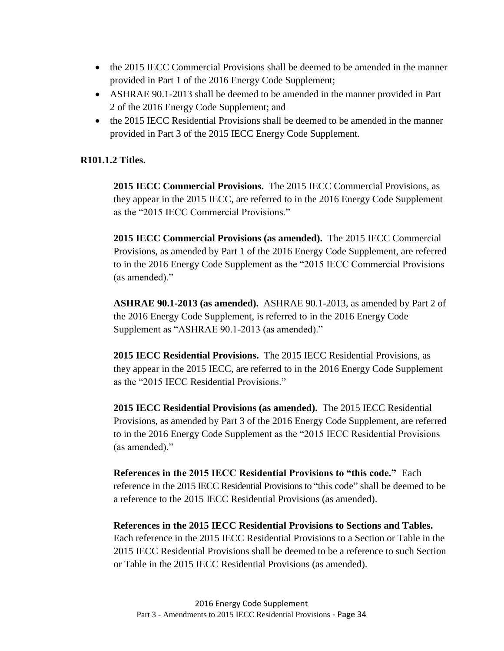- the 2015 IECC Commercial Provisions shall be deemed to be amended in the manner provided in Part 1 of the 2016 Energy Code Supplement;
- ASHRAE 90.1-2013 shall be deemed to be amended in the manner provided in Part 2 of the 2016 Energy Code Supplement; and
- the 2015 IECC Residential Provisions shall be deemed to be amended in the manner provided in Part 3 of the 2015 IECC Energy Code Supplement.

### **R101.1.2 Titles.**

**2015 IECC Commercial Provisions.** The 2015 IECC Commercial Provisions, as they appear in the 2015 IECC, are referred to in the 2016 Energy Code Supplement as the "2015 IECC Commercial Provisions."

**2015 IECC Commercial Provisions (as amended).** The 2015 IECC Commercial Provisions, as amended by Part 1 of the 2016 Energy Code Supplement, are referred to in the 2016 Energy Code Supplement as the "2015 IECC Commercial Provisions (as amended)."

**ASHRAE 90.1-2013 (as amended).** ASHRAE 90.1-2013, as amended by Part 2 of the 2016 Energy Code Supplement, is referred to in the 2016 Energy Code Supplement as "ASHRAE 90.1-2013 (as amended)."

**2015 IECC Residential Provisions.** The 2015 IECC Residential Provisions, as they appear in the 2015 IECC, are referred to in the 2016 Energy Code Supplement as the "2015 IECC Residential Provisions."

**2015 IECC Residential Provisions (as amended).** The 2015 IECC Residential Provisions, as amended by Part 3 of the 2016 Energy Code Supplement, are referred to in the 2016 Energy Code Supplement as the "2015 IECC Residential Provisions (as amended)."

**References in the 2015 IECC Residential Provisions to "this code."** Each reference in the 2015 IECC Residential Provisions to "this code" shall be deemed to be a reference to the 2015 IECC Residential Provisions (as amended).

**References in the 2015 IECC Residential Provisions to Sections and Tables.**  Each reference in the 2015 IECC Residential Provisions to a Section or Table in the 2015 IECC Residential Provisions shall be deemed to be a reference to such Section or Table in the 2015 IECC Residential Provisions (as amended).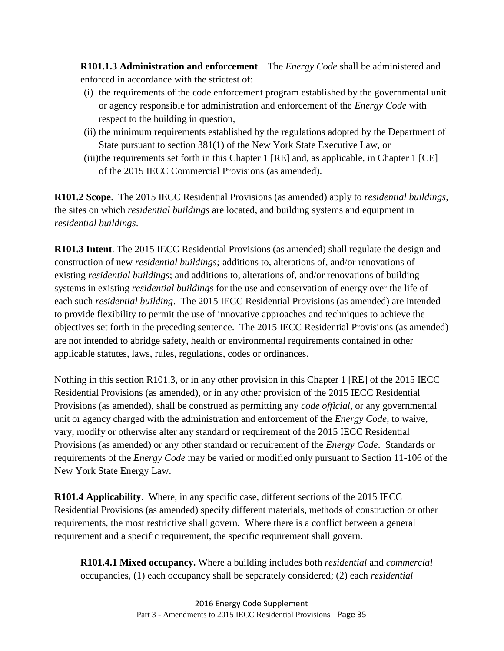**R101.1.3 Administration and enforcement**. The *Energy Code* shall be administered and enforced in accordance with the strictest of:

- (i) the requirements of the code enforcement program established by the governmental unit or agency responsible for administration and enforcement of the *Energy Code* with respect to the building in question,
- (ii) the minimum requirements established by the regulations adopted by the Department of State pursuant to section 381(1) of the New York State Executive Law, or
- (iii)the requirements set forth in this Chapter 1 [RE] and, as applicable, in Chapter 1 [CE] of the 2015 IECC Commercial Provisions (as amended).

**R101.2 Scope**. The 2015 IECC Residential Provisions (as amended) apply to *residential buildings*, the sites on which *residential buildings* are located, and building systems and equipment in *residential buildings*.

**R101.3 Intent**. The 2015 IECC Residential Provisions (as amended) shall regulate the design and construction of new *residential buildings;* additions to, alterations of, and/or renovations of existing *residential buildings*; and additions to, alterations of, and/or renovations of building systems in existing *residential buildings* for the use and conservation of energy over the life of each such *residential building*. The 2015 IECC Residential Provisions (as amended) are intended to provide flexibility to permit the use of innovative approaches and techniques to achieve the objectives set forth in the preceding sentence. The 2015 IECC Residential Provisions (as amended) are not intended to abridge safety, health or environmental requirements contained in other applicable statutes, laws, rules, regulations, codes or ordinances.

Nothing in this section R101.3, or in any other provision in this Chapter 1 [RE] of the 2015 IECC Residential Provisions (as amended), or in any other provision of the 2015 IECC Residential Provisions (as amended), shall be construed as permitting any *code official*, or any governmental unit or agency charged with the administration and enforcement of the *Energy Code*, to waive, vary, modify or otherwise alter any standard or requirement of the 2015 IECC Residential Provisions (as amended) or any other standard or requirement of the *Energy Code*. Standards or requirements of the *Energy Code* may be varied or modified only pursuant to Section 11-106 of the New York State Energy Law.

**R101.4 Applicability**. Where, in any specific case, different sections of the 2015 IECC Residential Provisions (as amended) specify different materials, methods of construction or other requirements, the most restrictive shall govern. Where there is a conflict between a general requirement and a specific requirement, the specific requirement shall govern.

**R101.4.1 Mixed occupancy.** Where a building includes both *residential* and *commercial*  occupancies, (1) each occupancy shall be separately considered; (2) each *residential*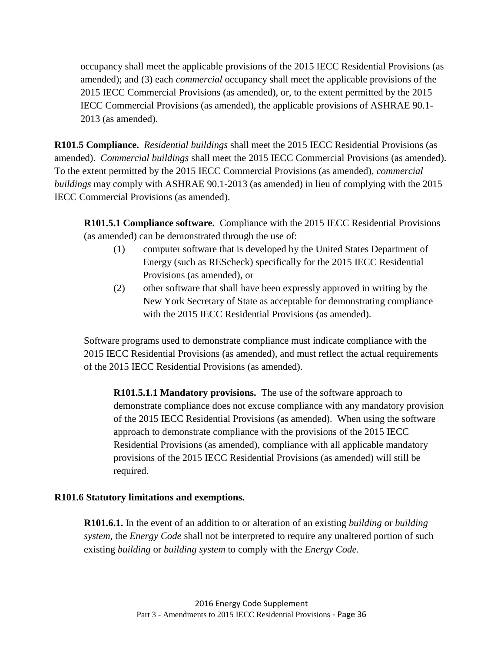occupancy shall meet the applicable provisions of the 2015 IECC Residential Provisions (as amended); and (3) each *commercial* occupancy shall meet the applicable provisions of the 2015 IECC Commercial Provisions (as amended), or, to the extent permitted by the 2015 IECC Commercial Provisions (as amended), the applicable provisions of ASHRAE 90.1- 2013 (as amended).

**R101.5 Compliance.** *Residential buildings* shall meet the 2015 IECC Residential Provisions (as amended). *Commercial buildings* shall meet the 2015 IECC Commercial Provisions (as amended). To the extent permitted by the 2015 IECC Commercial Provisions (as amended), *commercial buildings* may comply with ASHRAE 90.1-2013 (as amended) in lieu of complying with the 2015 IECC Commercial Provisions (as amended).

**R101.5.1 Compliance software.** Compliance with the 2015 IECC Residential Provisions (as amended) can be demonstrated through the use of:

- (1) computer software that is developed by the United States Department of Energy (such as REScheck) specifically for the 2015 IECC Residential Provisions (as amended), or
- (2) other software that shall have been expressly approved in writing by the New York Secretary of State as acceptable for demonstrating compliance with the 2015 IECC Residential Provisions (as amended).

Software programs used to demonstrate compliance must indicate compliance with the 2015 IECC Residential Provisions (as amended), and must reflect the actual requirements of the 2015 IECC Residential Provisions (as amended).

**R101.5.1.1 Mandatory provisions.** The use of the software approach to demonstrate compliance does not excuse compliance with any mandatory provision of the 2015 IECC Residential Provisions (as amended). When using the software approach to demonstrate compliance with the provisions of the 2015 IECC Residential Provisions (as amended), compliance with all applicable mandatory provisions of the 2015 IECC Residential Provisions (as amended) will still be required.

### **R101.6 Statutory limitations and exemptions.**

**R101.6.1.** In the event of an addition to or alteration of an existing *building* or *building system*, the *Energy Code* shall not be interpreted to require any unaltered portion of such existing *building* or *building system* to comply with the *Energy Code*.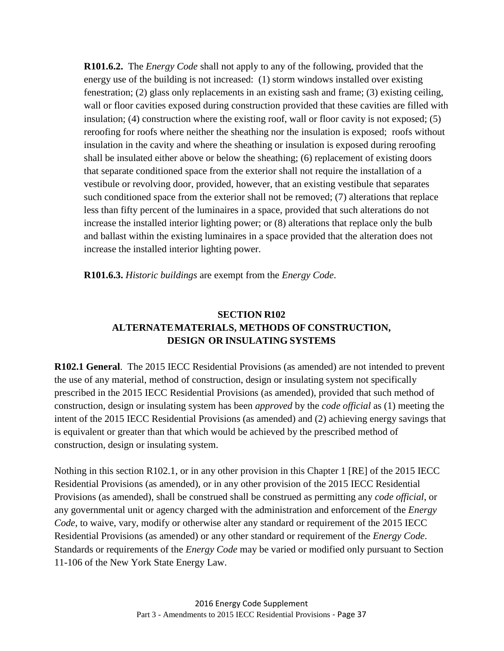**R101.6.2.** The *Energy Code* shall not apply to any of the following, provided that the energy use of the building is not increased: (1) storm windows installed over existing fenestration; (2) glass only replacements in an existing sash and frame; (3) existing ceiling, wall or floor cavities exposed during construction provided that these cavities are filled with insulation; (4) construction where the existing roof, wall or floor cavity is not exposed; (5) reroofing for roofs where neither the sheathing nor the insulation is exposed; roofs without insulation in the cavity and where the sheathing or insulation is exposed during reroofing shall be insulated either above or below the sheathing; (6) replacement of existing doors that separate conditioned space from the exterior shall not require the installation of a vestibule or revolving door, provided, however, that an existing vestibule that separates such conditioned space from the exterior shall not be removed; (7) alterations that replace less than fifty percent of the luminaires in a space, provided that such alterations do not increase the installed interior lighting power; or (8) alterations that replace only the bulb and ballast within the existing luminaires in a space provided that the alteration does not increase the installed interior lighting power.

**R101.6.3.** *Historic buildings* are exempt from the *Energy Code*.

# **SECTION R102 ALTERNATEMATERIALS, METHODS OF CONSTRUCTION, DESIGN OR INSULATING SYSTEMS**

**R102.1 General**. The 2015 IECC Residential Provisions (as amended) are not intended to prevent the use of any material, method of construction, design or insulating system not specifically prescribed in the 2015 IECC Residential Provisions (as amended), provided that such method of construction, design or insulating system has been *approved* by the *code official* as (1) meeting the intent of the 2015 IECC Residential Provisions (as amended) and (2) achieving energy savings that is equivalent or greater than that which would be achieved by the prescribed method of construction, design or insulating system.

Nothing in this section R102.1, or in any other provision in this Chapter 1 [RE] of the 2015 IECC Residential Provisions (as amended), or in any other provision of the 2015 IECC Residential Provisions (as amended), shall be construed shall be construed as permitting any *code official*, or any governmental unit or agency charged with the administration and enforcement of the *Energy Code*, to waive, vary, modify or otherwise alter any standard or requirement of the 2015 IECC Residential Provisions (as amended) or any other standard or requirement of the *Energy Code*. Standards or requirements of the *Energy Code* may be varied or modified only pursuant to Section 11-106 of the New York State Energy Law.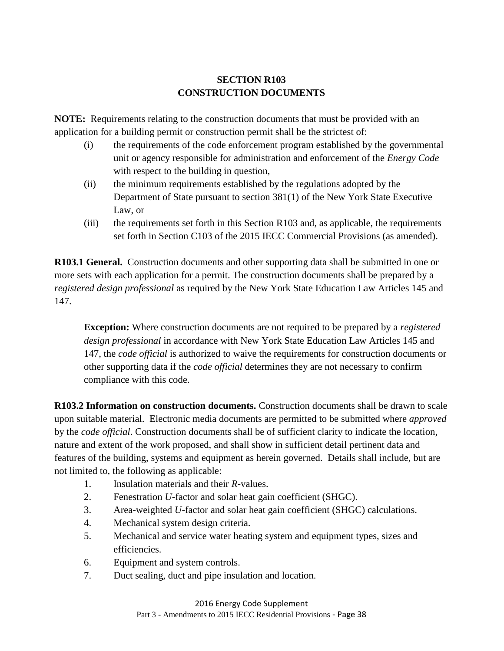# **SECTION R103 CONSTRUCTION DOCUMENTS**

**NOTE:** Requirements relating to the construction documents that must be provided with an application for a building permit or construction permit shall be the strictest of:

- (i) the requirements of the code enforcement program established by the governmental unit or agency responsible for administration and enforcement of the *Energy Code* with respect to the building in question,
- (ii) the minimum requirements established by the regulations adopted by the Department of State pursuant to section 381(1) of the New York State Executive Law, or
- (iii) the requirements set forth in this Section R103 and, as applicable, the requirements set forth in Section C103 of the 2015 IECC Commercial Provisions (as amended).

**R103.1 General.** Construction documents and other supporting data shall be submitted in one or more sets with each application for a permit. The construction documents shall be prepared by a *registered design professional* as required by the New York State Education Law Articles 145 and 147.

**Exception:** Where construction documents are not required to be prepared by a *registered design professional* in accordance with New York State Education Law Articles 145 and 147, the *code official* is authorized to waive the requirements for construction documents or other supporting data if the *code official* determines they are not necessary to confirm compliance with this code.

**R103.2 Information on construction documents.** Construction documents shall be drawn to scale upon suitable material. Electronic media documents are permitted to be submitted where *approved*  by the *code official*. Construction documents shall be of sufficient clarity to indicate the location, nature and extent of the work proposed, and shall show in sufficient detail pertinent data and features of the building, systems and equipment as herein governed. Details shall include, but are not limited to, the following as applicable:

- 1. Insulation materials and their *R*-values.
- 2. Fenestration *U*-factor and solar heat gain coefficient (SHGC).
- 3. Area-weighted *U*-factor and solar heat gain coefficient (SHGC) calculations.
- 4. Mechanical system design criteria.
- 5. Mechanical and service water heating system and equipment types, sizes and efficiencies.
- 6. Equipment and system controls.
- 7. Duct sealing, duct and pipe insulation and location.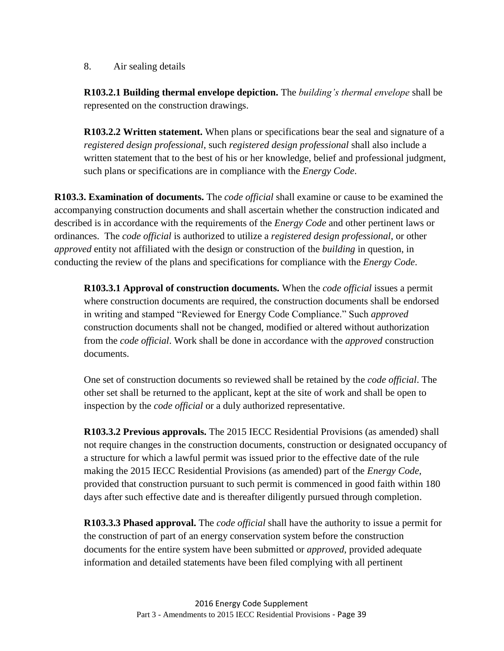8. Air sealing details

**R103.2.1 Building thermal envelope depiction.** The *building's thermal envelope* shall be represented on the construction drawings.

**R103.2.2 Written statement.** When plans or specifications bear the seal and signature of a *registered design professional*, such *registered design professional* shall also include a written statement that to the best of his or her knowledge, belief and professional judgment, such plans or specifications are in compliance with the *Energy Code*.

**R103.3. Examination of documents.** The *code official* shall examine or cause to be examined the accompanying construction documents and shall ascertain whether the construction indicated and described is in accordance with the requirements of the *Energy Code* and other pertinent laws or ordinances. The *code official* is authorized to utilize a *registered design professional*, or other *approved* entity not affiliated with the design or construction of the *building* in question, in conducting the review of the plans and specifications for compliance with the *Energy Code*.

**R103.3.1 Approval of construction documents.** When the *code official* issues a permit where construction documents are required, the construction documents shall be endorsed in writing and stamped "Reviewed for Energy Code Compliance." Such *approved*  construction documents shall not be changed, modified or altered without authorization from the *code official*. Work shall be done in accordance with the *approved* construction documents.

One set of construction documents so reviewed shall be retained by the *code official*. The other set shall be returned to the applicant, kept at the site of work and shall be open to inspection by the *code official* or a duly authorized representative.

**R103.3.2 Previous approvals.** The 2015 IECC Residential Provisions (as amended) shall not require changes in the construction documents, construction or designated occupancy of a structure for which a lawful permit was issued prior to the effective date of the rule making the 2015 IECC Residential Provisions (as amended) part of the *Energy Code*, provided that construction pursuant to such permit is commenced in good faith within 180 days after such effective date and is thereafter diligently pursued through completion.

**R103.3.3 Phased approval.** The *code official* shall have the authority to issue a permit for the construction of part of an energy conservation system before the construction documents for the entire system have been submitted or *approved*, provided adequate information and detailed statements have been filed complying with all pertinent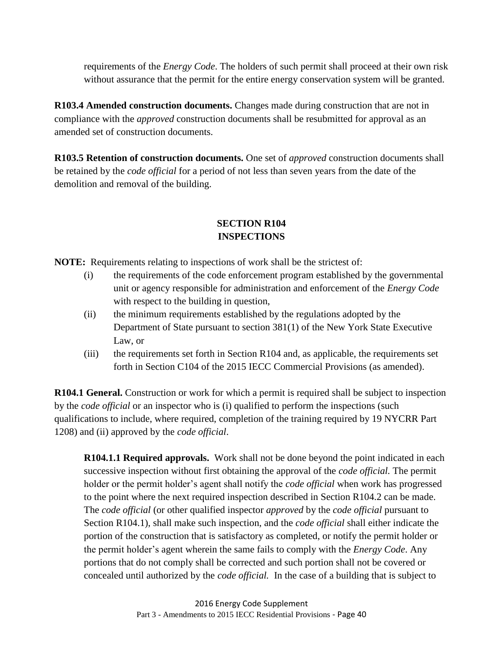requirements of the *Energy Code*. The holders of such permit shall proceed at their own risk without assurance that the permit for the entire energy conservation system will be granted.

**R103.4 Amended construction documents.** Changes made during construction that are not in compliance with the *approved* construction documents shall be resubmitted for approval as an amended set of construction documents.

**R103.5 Retention of construction documents.** One set of *approved* construction documents shall be retained by the *code official* for a period of not less than seven years from the date of the demolition and removal of the building.

# **SECTION R104 INSPECTIONS**

**NOTE:** Requirements relating to inspections of work shall be the strictest of:

- (i) the requirements of the code enforcement program established by the governmental unit or agency responsible for administration and enforcement of the *Energy Code* with respect to the building in question,
- (ii) the minimum requirements established by the regulations adopted by the Department of State pursuant to section 381(1) of the New York State Executive Law, or
- $(iii)$  the requirements set forth in Section R104 and, as applicable, the requirements set forth in Section C104 of the 2015 IECC Commercial Provisions (as amended).

**R104.1 General.** Construction or work for which a permit is required shall be subject to inspection by the *code official* or an inspector who is (i) qualified to perform the inspections (such qualifications to include, where required, completion of the training required by 19 NYCRR Part 1208) and (ii) approved by the *code official*.

**R104.1.1 Required approvals.** Work shall not be done beyond the point indicated in each successive inspection without first obtaining the approval of the *code official.* The permit holder or the permit holder's agent shall notify the *code official* when work has progressed to the point where the next required inspection described in Section R104.2 can be made. The *code official* (or other qualified inspector *approved* by the *code official* pursuant to Section R104.1), shall make such inspection, and the *code official* shall either indicate the portion of the construction that is satisfactory as completed, or notify the permit holder or the permit holder's agent wherein the same fails to comply with the *Energy Code*. Any portions that do not comply shall be corrected and such portion shall not be covered or concealed until authorized by the *code official.* In the case of a building that is subject to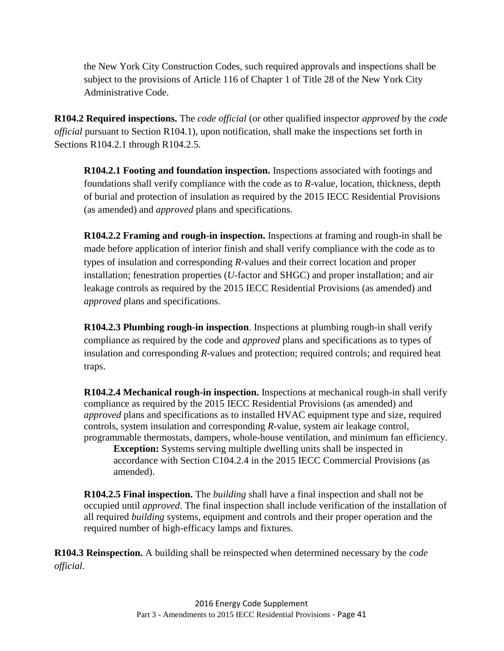the New York City Construction Codes, such required approvals and inspections shall be subject to the provisions of Article 116 of Chapter 1 of Title 28 of the New York City Administrative Code.

**R104.2 Required inspections.** The *code official* (or other qualified inspector *approved* by the *code official* pursuant to Section R104.1), upon notification, shall make the inspections set forth in Sections R104.2.1 through R104.2.5.

**R104.2.1 Footing and foundation inspection.** Inspections associated with footings and foundations shall verify compliance with the code as to *R*-value, location, thickness, depth of burial and protection of insulation as required by the 2015 IECC Residential Provisions (as amended) and *approved* plans and specifications.

**R104.2.2 Framing and rough-in inspection.** Inspections at framing and rough-in shall be made before application of interior finish and shall verify compliance with the code as to types of insulation and corresponding *R*-values and their correct location and proper installation; fenestration properties (*U*-factor and SHGC) and proper installation; and air leakage controls as required by the 2015 IECC Residential Provisions (as amended) and *approved* plans and specifications.

**R104.2.3 Plumbing rough-in inspection**. Inspections at plumbing rough-in shall verify compliance as required by the code and *approved* plans and specifications as to types of insulation and corresponding *R*-values and protection; required controls; and required heat traps.

**R104.2.4 Mechanical rough-in inspection.** Inspections at mechanical rough-in shall verify compliance as required by the 2015 IECC Residential Provisions (as amended) and *approved* plans and specifications as to installed HVAC equipment type and size, required controls, system insulation and corresponding *R*-value, system air leakage control, programmable thermostats, dampers, whole-house ventilation, and minimum fan efficiency.

**Exception:** Systems serving multiple dwelling units shall be inspected in accordance with Section C104.2.4 in the 2015 IECC Commercial Provisions (as amended).

**R104.2.5 Final inspection.** The *building* shall have a final inspection and shall not be occupied until *approved*. The final inspection shall include verification of the installation of all required *building* systems, equipment and controls and their proper operation and the required number of high-efficacy lamps and fixtures.

**R104.3 Reinspection.** A building shall be reinspected when determined necessary by the *code official*.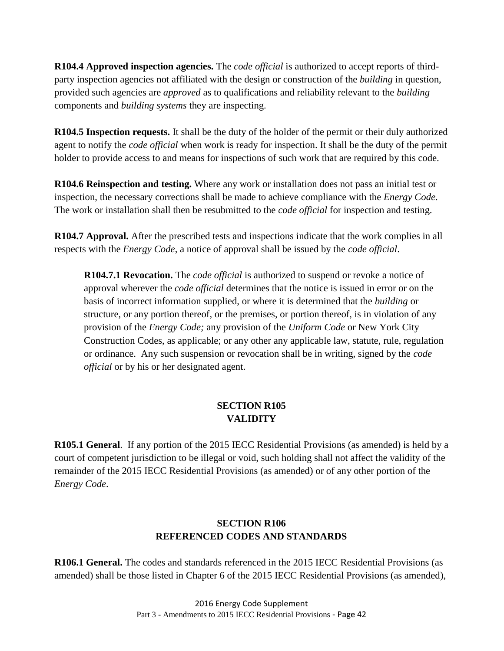**R104.4 Approved inspection agencies.** The *code official* is authorized to accept reports of thirdparty inspection agencies not affiliated with the design or construction of the *building* in question, provided such agencies are *approved* as to qualifications and reliability relevant to the *building* components and *building systems* they are inspecting.

**R104.5 Inspection requests.** It shall be the duty of the holder of the permit or their duly authorized agent to notify the *code official* when work is ready for inspection. It shall be the duty of the permit holder to provide access to and means for inspections of such work that are required by this code.

**R104.6 Reinspection and testing.** Where any work or installation does not pass an initial test or inspection, the necessary corrections shall be made to achieve compliance with the *Energy Code*. The work or installation shall then be resubmitted to the *code official* for inspection and testing.

**R104.7 Approval.** After the prescribed tests and inspections indicate that the work complies in all respects with the *Energy Code*, a notice of approval shall be issued by the *code official*.

**R104.7.1 Revocation.** The *code official* is authorized to suspend or revoke a notice of approval wherever the *code official* determines that the notice is issued in error or on the basis of incorrect information supplied, or where it is determined that the *building* or structure, or any portion thereof, or the premises, or portion thereof, is in violation of any provision of the *Energy Code;* any provision of the *Uniform Code* or New York City Construction Codes, as applicable; or any other any applicable law, statute, rule, regulation or ordinance. Any such suspension or revocation shall be in writing, signed by the *code official* or by his or her designated agent.

# **SECTION R105 VALIDITY**

**R105.1 General**. If any portion of the 2015 IECC Residential Provisions (as amended) is held by a court of competent jurisdiction to be illegal or void, such holding shall not affect the validity of the remainder of the 2015 IECC Residential Provisions (as amended) or of any other portion of the *Energy Code*.

# **SECTION R106 REFERENCED CODES AND STANDARDS**

**R106.1 General.** The codes and standards referenced in the 2015 IECC Residential Provisions (as amended) shall be those listed in Chapter 6 of the 2015 IECC Residential Provisions (as amended),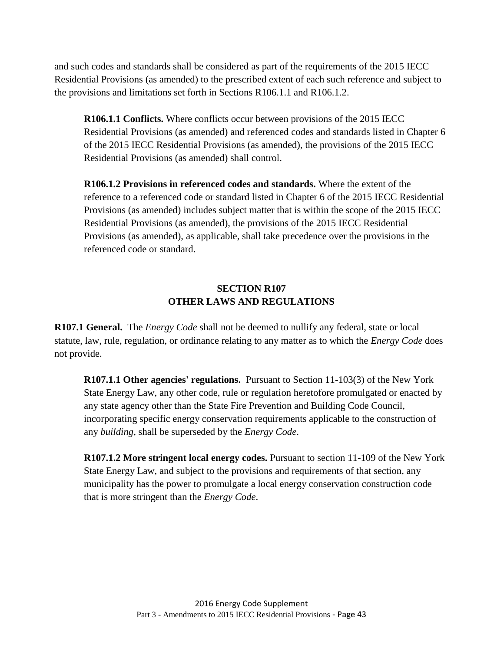and such codes and standards shall be considered as part of the requirements of the 2015 IECC Residential Provisions (as amended) to the prescribed extent of each such reference and subject to the provisions and limitations set forth in Sections R106.1.1 and R106.1.2.

**R106.1.1 Conflicts.** Where conflicts occur between provisions of the 2015 IECC Residential Provisions (as amended) and referenced codes and standards listed in Chapter 6 of the 2015 IECC Residential Provisions (as amended), the provisions of the 2015 IECC Residential Provisions (as amended) shall control.

**R106.1.2 Provisions in referenced codes and standards.** Where the extent of the reference to a referenced code or standard listed in Chapter 6 of the 2015 IECC Residential Provisions (as amended) includes subject matter that is within the scope of the 2015 IECC Residential Provisions (as amended), the provisions of the 2015 IECC Residential Provisions (as amended), as applicable, shall take precedence over the provisions in the referenced code or standard.

# **SECTION R107 OTHER LAWS AND REGULATIONS**

**R107.1 General.** The *Energy Code* shall not be deemed to nullify any federal, state or local statute, law, rule, regulation, or ordinance relating to any matter as to which the *Energy Code* does not provide.

**R107.1.1 Other agencies' regulations.** Pursuant to Section 11-103(3) of the New York State Energy Law, any other code, rule or regulation heretofore promulgated or enacted by any state agency other than the State Fire Prevention and Building Code Council, incorporating specific energy conservation requirements applicable to the construction of any *building*, shall be superseded by the *Energy Code*.

**R107.1.2 More stringent local energy codes.** Pursuant to section 11-109 of the New York State Energy Law, and subject to the provisions and requirements of that section, any municipality has the power to promulgate a local energy conservation construction code that is more stringent than the *Energy Code*.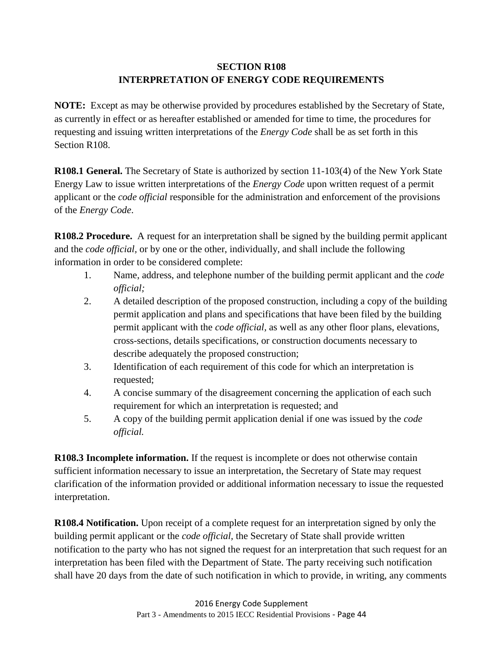# **SECTION R108 INTERPRETATION OF ENERGY CODE REQUIREMENTS**

**NOTE:** Except as may be otherwise provided by procedures established by the Secretary of State, as currently in effect or as hereafter established or amended for time to time, the procedures for requesting and issuing written interpretations of the *Energy Code* shall be as set forth in this Section R108.

**R108.1 General.** The Secretary of State is authorized by section 11-103(4) of the New York State Energy Law to issue written interpretations of the *Energy Code* upon written request of a permit applicant or the *code official* responsible for the administration and enforcement of the provisions of the *Energy Code*.

**R108.2 Procedure.** A request for an interpretation shall be signed by the building permit applicant and the *code official,* or by one or the other, individually, and shall include the following information in order to be considered complete:

- 1. Name, address, and telephone number of the building permit applicant and the *code official;*
- 2. A detailed description of the proposed construction, including a copy of the building permit application and plans and specifications that have been filed by the building permit applicant with the *code official,* as well as any other floor plans, elevations, cross-sections, details specifications, or construction documents necessary to describe adequately the proposed construction;
- 3. Identification of each requirement of this code for which an interpretation is requested;
- 4. A concise summary of the disagreement concerning the application of each such requirement for which an interpretation is requested; and
- 5. A copy of the building permit application denial if one was issued by the *code official.*

**R108.3 Incomplete information.** If the request is incomplete or does not otherwise contain sufficient information necessary to issue an interpretation, the Secretary of State may request clarification of the information provided or additional information necessary to issue the requested interpretation.

**R108.4 Notification.** Upon receipt of a complete request for an interpretation signed by only the building permit applicant or the *code official,* the Secretary of State shall provide written notification to the party who has not signed the request for an interpretation that such request for an interpretation has been filed with the Department of State. The party receiving such notification shall have 20 days from the date of such notification in which to provide, in writing, any comments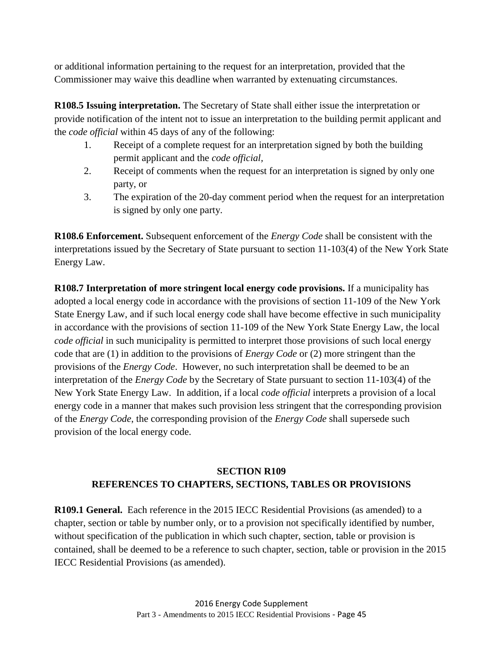or additional information pertaining to the request for an interpretation, provided that the Commissioner may waive this deadline when warranted by extenuating circumstances.

**R108.5 Issuing interpretation.** The Secretary of State shall either issue the interpretation or provide notification of the intent not to issue an interpretation to the building permit applicant and the *code official* within 45 days of any of the following:

- 1. Receipt of a complete request for an interpretation signed by both the building permit applicant and the *code official,*
- 2. Receipt of comments when the request for an interpretation is signed by only one party, or
- 3. The expiration of the 20-day comment period when the request for an interpretation is signed by only one party.

**R108.6 Enforcement.** Subsequent enforcement of the *Energy Code* shall be consistent with the interpretations issued by the Secretary of State pursuant to section 11-103(4) of the New York State Energy Law.

**R108.7 Interpretation of more stringent local energy code provisions.** If a municipality has adopted a local energy code in accordance with the provisions of section 11-109 of the New York State Energy Law, and if such local energy code shall have become effective in such municipality in accordance with the provisions of section 11-109 of the New York State Energy Law, the local *code official* in such municipality is permitted to interpret those provisions of such local energy code that are (1) in addition to the provisions of *Energy Code* or (2) more stringent than the provisions of the *Energy Code*. However, no such interpretation shall be deemed to be an interpretation of the *Energy Code* by the Secretary of State pursuant to section 11-103(4) of the New York State Energy Law. In addition, if a local *code official* interprets a provision of a local energy code in a manner that makes such provision less stringent that the corresponding provision of the *Energy Code*, the corresponding provision of the *Energy Code* shall supersede such provision of the local energy code.

# **SECTION R109 REFERENCES TO CHAPTERS, SECTIONS, TABLES OR PROVISIONS**

**R109.1 General.** Each reference in the 2015 IECC Residential Provisions (as amended) to a chapter, section or table by number only, or to a provision not specifically identified by number, without specification of the publication in which such chapter, section, table or provision is contained, shall be deemed to be a reference to such chapter, section, table or provision in the 2015 IECC Residential Provisions (as amended).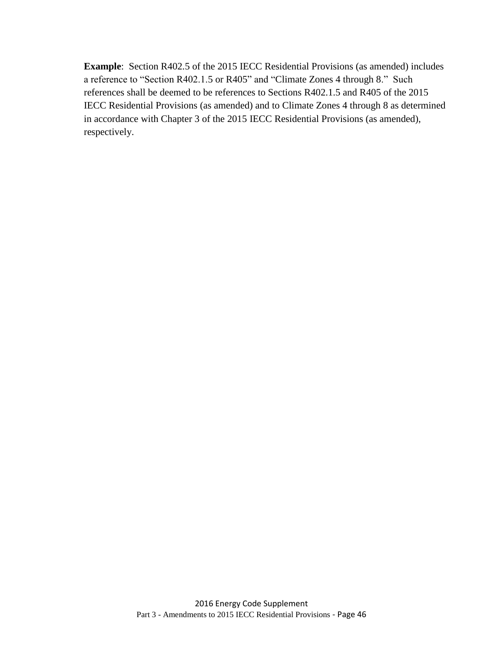**Example**: Section R402.5 of the 2015 IECC Residential Provisions (as amended) includes a reference to "Section R402.1.5 or R405" and "Climate Zones 4 through 8." Such references shall be deemed to be references to Sections R402.1.5 and R405 of the 2015 IECC Residential Provisions (as amended) and to Climate Zones 4 through 8 as determined in accordance with Chapter 3 of the 2015 IECC Residential Provisions (as amended), respectively.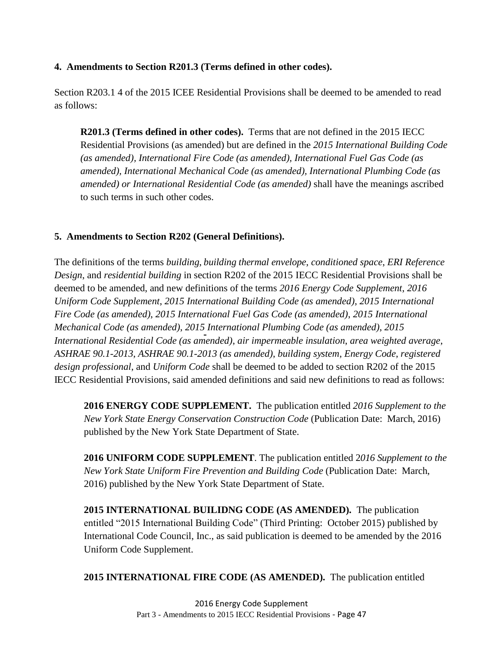### <span id="page-53-0"></span>**4. Amendments to Section R201.3 (Terms defined in other codes).**

Section R203.1 4 of the 2015 ICEE Residential Provisions shall be deemed to be amended to read as follows:

**R201.3 (Terms defined in other codes).** Terms that are not defined in the 2015 IECC Residential Provisions (as amended) but are defined in the *2015 International Building Code (as amended), International Fire Code (as amended), International Fuel Gas Code (as amended), International Mechanical Code (as amended), International Plumbing Code (as amended) or International Residential Code (as amended)* shall have the meanings ascribed to such terms in such other codes.

### <span id="page-53-1"></span>**5. Amendments to Section R202 (General Definitions).**

The definitions of the terms *building*, *building thermal envelope*, *conditioned space*, *ERI Reference Design*, and *residential building* in section R202 of the 2015 IECC Residential Provisions shall be deemed to be amended, and new definitions of the terms *2016 Energy Code Supplement*, *2016 Uniform Code Supplement*, *2015 International Building Code (as amended)*, *2015 International Fire Code (as amended)*, *2015 International Fuel Gas Code (as amended)*, *2015 International Mechanical Code (as amended)*, *2015 International Plumbing Code (as amended)*, *2015 International Residential Code (as amended)*, *air impermeable insulation*, *area weighted average*, *ASHRAE 90.1-2013*, *ASHRAE 90.1-2013 (as amended)*, *building system*, *Energy Code*, *registered design professional*, and *Uniform Code* shall be deemed to be added to section R202 of the 2015 IECC Residential Provisions, said amended definitions and said new definitions to read as follows:

**2016 ENERGY CODE SUPPLEMENT.** The publication entitled *2016 Supplement to the New York State Energy Conservation Construction Code* (Publication Date: March, 2016) published by the New York State Department of State.

**2016 UNIFORM CODE SUPPLEMENT**. The publication entitled 2*016 Supplement to the New York State Uniform Fire Prevention and Building Code* (Publication Date: March, 2016) published by the New York State Department of State.

**2015 INTERNATIONAL BUILIDNG CODE (AS AMENDED).** The publication entitled "2015 International Building Code" (Third Printing: October 2015) published by International Code Council, Inc., as said publication is deemed to be amended by the 2016 Uniform Code Supplement.

**2015 INTERNATIONAL FIRE CODE (AS AMENDED).** The publication entitled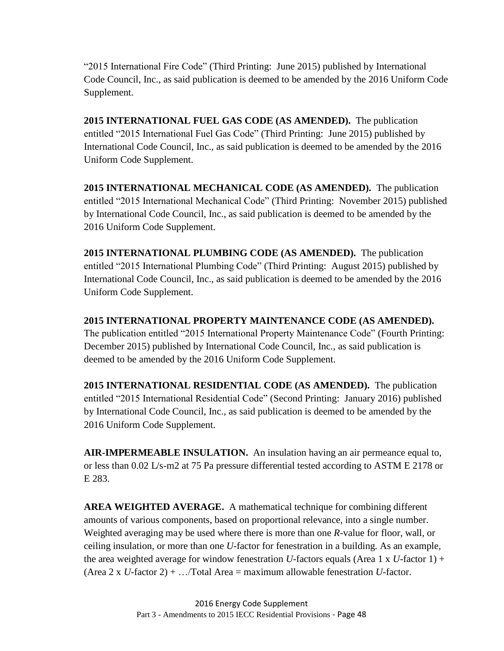"2015 International Fire Code" (Third Printing: June 2015) published by International Code Council, Inc., as said publication is deemed to be amended by the 2016 Uniform Code Supplement.

**2015 INTERNATIONAL FUEL GAS CODE (AS AMENDED).** The publication entitled "2015 International Fuel Gas Code" (Third Printing: June 2015) published by International Code Council, Inc., as said publication is deemed to be amended by the 2016 Uniform Code Supplement.

**2015 INTERNATIONAL MECHANICAL CODE (AS AMENDED).** The publication entitled "2015 International Mechanical Code" (Third Printing: November 2015) published by International Code Council, Inc., as said publication is deemed to be amended by the 2016 Uniform Code Supplement.

**2015 INTERNATIONAL PLUMBING CODE (AS AMENDED).** The publication entitled "2015 International Plumbing Code" (Third Printing: August 2015) published by International Code Council, Inc., as said publication is deemed to be amended by the 2016 Uniform Code Supplement.

**2015 INTERNATIONAL PROPERTY MAINTENANCE CODE (AS AMENDED).** The publication entitled "2015 International Property Maintenance Code" (Fourth Printing: December 2015) published by International Code Council, Inc., as said publication is deemed to be amended by the 2016 Uniform Code Supplement.

**2015 INTERNATIONAL RESIDENTIAL CODE (AS AMENDED).** The publication entitled "2015 International Residential Code" (Second Printing: January 2016) published by International Code Council, Inc., as said publication is deemed to be amended by the 2016 Uniform Code Supplement.

**AIR-IMPERMEABLE INSULATION.** An insulation having an air permeance equal to, or less than 0.02 L/s-m2 at 75 Pa pressure differential tested according to ASTM E 2178 or E 283.

**AREA WEIGHTED AVERAGE.** A mathematical technique for combining different amounts of various components, based on proportional relevance, into a single number. Weighted averaging may be used where there is more than one *R*-value for floor, wall, or ceiling insulation, or more than one *U*-factor for fenestration in a building. As an example, the area weighted average for window fenestration *U*-factors equals (Area 1 x *U*-factor 1) + (Area 2 x *U*-factor 2) + .../Total Area = maximum allowable fenestration *U*-factor.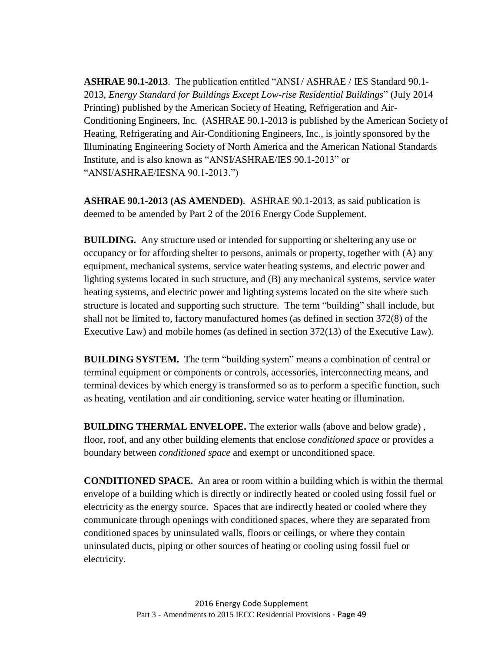**ASHRAE 90.1-2013**. The publication entitled "ANSI / ASHRAE / IES Standard 90.1- 2013, *Energy Standard for Buildings Except Low-rise Residential Buildings*" (July 2014 Printing) published by the American Society of Heating, Refrigeration and Air-Conditioning Engineers, Inc. (ASHRAE 90.1-2013 is published by the American Society of Heating, Refrigerating and Air-Conditioning Engineers, Inc., is jointly sponsored by the Illuminating Engineering Society of North America and the American National Standards Institute, and is also known as "ANSI/ASHRAE/IES 90.1-2013" or "ANSI/ASHRAE/IESNA 90.1-2013.")

**ASHRAE 90.1-2013 (AS AMENDED)**. ASHRAE 90.1-2013, as said publication is deemed to be amended by Part 2 of the 2016 Energy Code Supplement.

**BUILDING.** Any structure used or intended for supporting or sheltering any use or occupancy or for affording shelter to persons, animals or property, together with (A) any equipment, mechanical systems, service water heating systems, and electric power and lighting systems located in such structure, and (B) any mechanical systems, service water heating systems, and electric power and lighting systems located on the site where such structure is located and supporting such structure. The term "building" shall include, but shall not be limited to, factory manufactured homes (as defined in section 372(8) of the Executive Law) and mobile homes (as defined in section 372(13) of the Executive Law).

**BUILDING SYSTEM.** The term "building system" means a combination of central or terminal equipment or components or controls, accessories, interconnecting means, and terminal devices by which energy is transformed so as to perform a specific function, such as heating, ventilation and air conditioning, service water heating or illumination.

**BUILDING THERMAL ENVELOPE.** The exterior walls (above and below grade) , floor, roof, and any other building elements that enclose *conditioned space* or provides a boundary between *conditioned space* and exempt or unconditioned space.

**CONDITIONED SPACE.** An area or room within a building which is within the thermal envelope of a building which is directly or indirectly heated or cooled using fossil fuel or electricity as the energy source. Spaces that are indirectly heated or cooled where they communicate through openings with conditioned spaces, where they are separated from conditioned spaces by uninsulated walls, floors or ceilings, or where they contain uninsulated ducts, piping or other sources of heating or cooling using fossil fuel or electricity.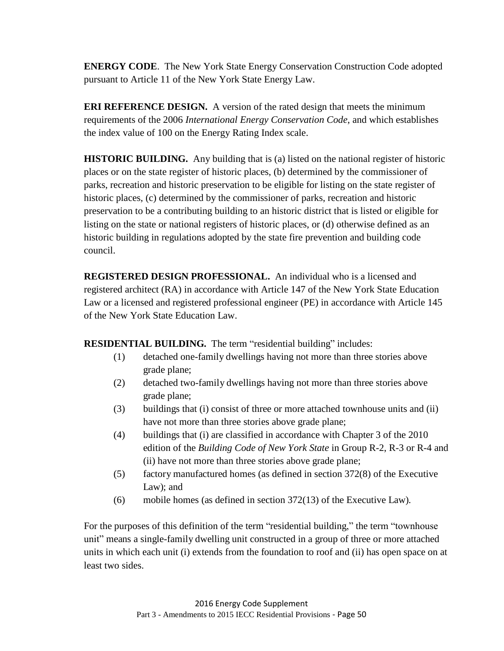**ENERGY CODE**. The New York State Energy Conservation Construction Code adopted pursuant to Article 11 of the New York State Energy Law.

**ERI REFERENCE DESIGN.** A version of the rated design that meets the minimum requirements of the 2006 *International Energy Conservation Code*, and which establishes the index value of 100 on the Energy Rating Index scale.

**HISTORIC BUILDING.** Any building that is (a) listed on the national register of historic places or on the state register of historic places, (b) determined by the commissioner of parks, recreation and historic preservation to be eligible for listing on the state register of historic places, (c) determined by the commissioner of parks, recreation and historic preservation to be a contributing building to an historic district that is listed or eligible for listing on the state or national registers of historic places, or (d) otherwise defined as an historic building in regulations adopted by the state fire prevention and building code council.

**REGISTERED DESIGN PROFESSIONAL.** An individual who is a licensed and registered architect (RA) in accordance with Article 147 of the New York State Education Law or a licensed and registered professional engineer (PE) in accordance with Article 145 of the New York State Education Law.

**RESIDENTIAL BUILDING.** The term "residential building" includes:

- (1) detached one-family dwellings having not more than three stories above grade plane;
- (2) detached two-family dwellings having not more than three stories above grade plane;
- (3) buildings that (i) consist of three or more attached townhouse units and (ii) have not more than three stories above grade plane;
- (4) buildings that (i) are classified in accordance with Chapter 3 of the 2010 edition of the *Building Code of New York State* in Group R-2, R-3 or R-4 and (ii) have not more than three stories above grade plane;
- (5) factory manufactured homes (as defined in section 372(8) of the Executive Law); and
- (6) mobile homes (as defined in section 372(13) of the Executive Law).

For the purposes of this definition of the term "residential building," the term "townhouse unit" means a single-family dwelling unit constructed in a group of three or more attached units in which each unit (i) extends from the foundation to roof and (ii) has open space on at least two sides.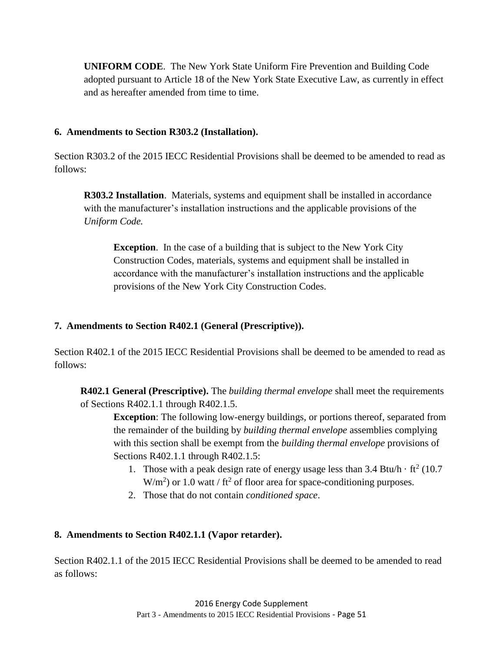**UNIFORM CODE**. The New York State Uniform Fire Prevention and Building Code adopted pursuant to Article 18 of the New York State Executive Law, as currently in effect and as hereafter amended from time to time.

### <span id="page-57-0"></span>**6. Amendments to Section R303.2 (Installation).**

Section R303.2 of the 2015 IECC Residential Provisions shall be deemed to be amended to read as follows:

**R303.2 Installation**. Materials, systems and equipment shall be installed in accordance with the manufacturer's installation instructions and the applicable provisions of the *Uniform Code.*

**Exception**. In the case of a building that is subject to the New York City Construction Codes, materials, systems and equipment shall be installed in accordance with the manufacturer's installation instructions and the applicable provisions of the New York City Construction Codes.

### <span id="page-57-1"></span>**7. Amendments to Section R402.1 (General (Prescriptive)).**

Section R402.1 of the 2015 IECC Residential Provisions shall be deemed to be amended to read as follows:

**R402.1 General (Prescriptive).** The *building thermal envelope* shall meet the requirements of Sections R402.1.1 through R402.1.5.

**Exception**: The following low-energy buildings, or portions thereof, separated from the remainder of the building by *building thermal envelope* assemblies complying with this section shall be exempt from the *building thermal envelope* provisions of Sections R402.1.1 through R402.1.5:

- 1. Those with a peak design rate of energy usage less than  $3.4 \text{ Btu/h} \cdot \text{ft}^2 (10.7)$  $W/m<sup>2</sup>$ ) or 1.0 watt / ft<sup>2</sup> of floor area for space-conditioning purposes.
- 2. Those that do not contain *conditioned space*.

### <span id="page-57-2"></span>**8. Amendments to Section R402.1.1 (Vapor retarder).**

Section R402.1.1 of the 2015 IECC Residential Provisions shall be deemed to be amended to read as follows: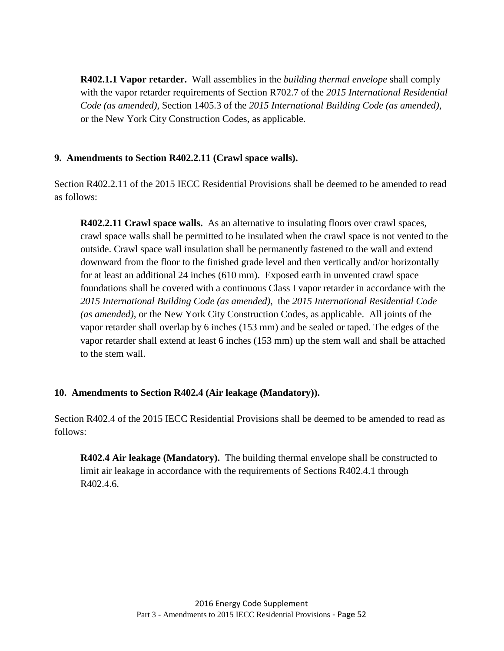**R402.1.1 Vapor retarder.** Wall assemblies in the *building thermal envelope* shall comply with the vapor retarder requirements of Section R702.7 of the *2015 International Residential Code (as amended)*, Section 1405.3 of the *2015 International Building Code (as amended)*, or the New York City Construction Codes, as applicable.

### <span id="page-58-0"></span>**9. Amendments to Section R402.2.11 (Crawl space walls).**

Section R402.2.11 of the 2015 IECC Residential Provisions shall be deemed to be amended to read as follows:

**R402.2.11 Crawl space walls.** As an alternative to insulating floors over crawl spaces, crawl space walls shall be permitted to be insulated when the crawl space is not vented to the outside. Crawl space wall insulation shall be permanently fastened to the wall and extend downward from the floor to the finished grade level and then vertically and/or horizontally for at least an additional 24 inches (610 mm). Exposed earth in unvented crawl space foundations shall be covered with a continuous Class I vapor retarder in accordance with the *2015 International Building Code (as amended)*, the *2015 International Residential Code (as amended)*, or the New York City Construction Codes, as applicable. All joints of the vapor retarder shall overlap by 6 inches (153 mm) and be sealed or taped. The edges of the vapor retarder shall extend at least 6 inches (153 mm) up the stem wall and shall be attached to the stem wall.

### <span id="page-58-1"></span>**10. Amendments to Section R402.4 (Air leakage (Mandatory)).**

Section R402.4 of the 2015 IECC Residential Provisions shall be deemed to be amended to read as follows:

**R402.4 Air leakage (Mandatory).** The building thermal envelope shall be constructed to limit air leakage in accordance with the requirements of Sections R402.4.1 through R402.4.6.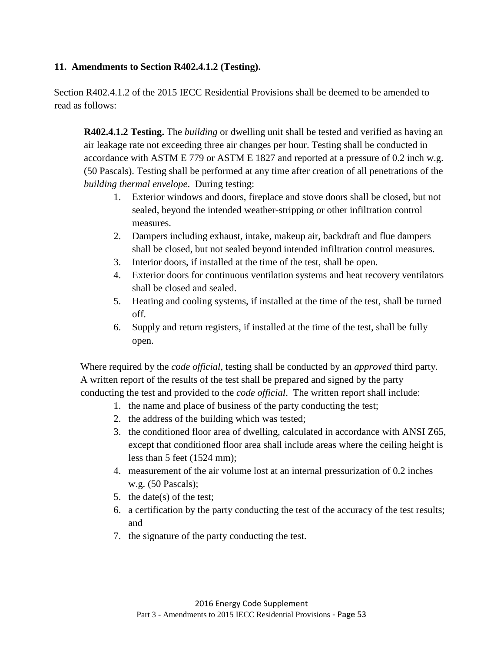### <span id="page-59-0"></span>**11. Amendments to Section R402.4.1.2 (Testing).**

Section R402.4.1.2 of the 2015 IECC Residential Provisions shall be deemed to be amended to read as follows:

**R402.4.1.2 Testing.** The *building* or dwelling unit shall be tested and verified as having an air leakage rate not exceeding three air changes per hour. Testing shall be conducted in accordance with ASTM E 779 or ASTM E 1827 and reported at a pressure of 0.2 inch w.g. (50 Pascals). Testing shall be performed at any time after creation of all penetrations of the *building thermal envelope*. During testing:

- 1. Exterior windows and doors, fireplace and stove doors shall be closed, but not sealed, beyond the intended weather-stripping or other infiltration control measures.
- 2. Dampers including exhaust, intake, makeup air, backdraft and flue dampers shall be closed, but not sealed beyond intended infiltration control measures.
- 3. Interior doors, if installed at the time of the test, shall be open.
- 4. Exterior doors for continuous ventilation systems and heat recovery ventilators shall be closed and sealed.
- 5. Heating and cooling systems, if installed at the time of the test, shall be turned off.
- 6. Supply and return registers, if installed at the time of the test, shall be fully open.

Where required by the *code official*, testing shall be conducted by an *approved* third party. A written report of the results of the test shall be prepared and signed by the party conducting the test and provided to the *code official*. The written report shall include:

- 1. the name and place of business of the party conducting the test;
- 2. the address of the building which was tested;
- 3. the conditioned floor area of dwelling, calculated in accordance with ANSI Z65, except that conditioned floor area shall include areas where the ceiling height is less than 5 feet (1524 mm);
- 4. measurement of the air volume lost at an internal pressurization of 0.2 inches w.g. (50 Pascals);
- 5. the date(s) of the test;
- 6. a certification by the party conducting the test of the accuracy of the test results; and
- 7. the signature of the party conducting the test.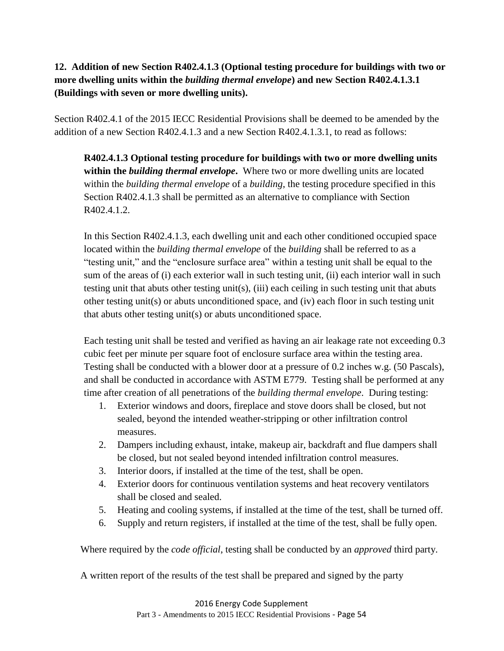# <span id="page-60-0"></span>**12. Addition of new Section R402.4.1.3 (Optional testing procedure for buildings with two or more dwelling units within the** *building thermal envelope***) and new Section R402.4.1.3.1 (Buildings with seven or more dwelling units).**

Section R402.4.1 of the 2015 IECC Residential Provisions shall be deemed to be amended by the addition of a new Section R402.4.1.3 and a new Section R402.4.1.3.1, to read as follows:

**R402.4.1.3 Optional testing procedure for buildings with two or more dwelling units within the** *building thermal envelope***.** Where two or more dwelling units are located within the *building thermal envelope* of a *building*, the testing procedure specified in this Section R402.4.1.3 shall be permitted as an alternative to compliance with Section R402.4.1.2.

In this Section R402.4.1.3, each dwelling unit and each other conditioned occupied space located within the *building thermal envelope* of the *building* shall be referred to as a "testing unit," and the "enclosure surface area" within a testing unit shall be equal to the sum of the areas of (i) each exterior wall in such testing unit, (ii) each interior wall in such testing unit that abuts other testing unit(s), (iii) each ceiling in such testing unit that abuts other testing unit(s) or abuts unconditioned space, and (iv) each floor in such testing unit that abuts other testing unit(s) or abuts unconditioned space.

Each testing unit shall be tested and verified as having an air leakage rate not exceeding 0.3 cubic feet per minute per square foot of enclosure surface area within the testing area. Testing shall be conducted with a blower door at a pressure of 0.2 inches w.g. (50 Pascals), and shall be conducted in accordance with ASTM E779. Testing shall be performed at any time after creation of all penetrations of the *building thermal envelope*. During testing:

- 1. Exterior windows and doors, fireplace and stove doors shall be closed, but not sealed, beyond the intended weather-stripping or other infiltration control measures.
- 2. Dampers including exhaust, intake, makeup air, backdraft and flue dampers shall be closed, but not sealed beyond intended infiltration control measures.
- 3. Interior doors, if installed at the time of the test, shall be open.
- 4. Exterior doors for continuous ventilation systems and heat recovery ventilators shall be closed and sealed.
- 5. Heating and cooling systems, if installed at the time of the test, shall be turned off.
- 6. Supply and return registers, if installed at the time of the test, shall be fully open.

Where required by the *code official*, testing shall be conducted by an *approved* third party.

A written report of the results of the test shall be prepared and signed by the party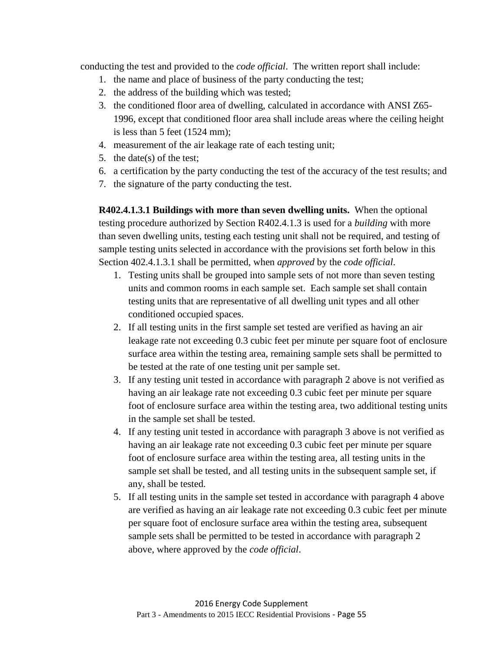conducting the test and provided to the *code official*. The written report shall include:

- 1. the name and place of business of the party conducting the test;
- 2. the address of the building which was tested;
- 3. the conditioned floor area of dwelling, calculated in accordance with ANSI Z65- 1996, except that conditioned floor area shall include areas where the ceiling height is less than 5 feet (1524 mm);
- 4. measurement of the air leakage rate of each testing unit;
- 5. the date(s) of the test;
- 6. a certification by the party conducting the test of the accuracy of the test results; and
- 7. the signature of the party conducting the test.

**R402.4.1.3.1 Buildings with more than seven dwelling units.** When the optional testing procedure authorized by Section R402.4.1.3 is used for a *building* with more than seven dwelling units, testing each testing unit shall not be required, and testing of sample testing units selected in accordance with the provisions set forth below in this Section 402.4.1.3.1 shall be permitted, when *approved* by the *code official*.

- 1. Testing units shall be grouped into sample sets of not more than seven testing units and common rooms in each sample set. Each sample set shall contain testing units that are representative of all dwelling unit types and all other conditioned occupied spaces.
- 2. If all testing units in the first sample set tested are verified as having an air leakage rate not exceeding 0.3 cubic feet per minute per square foot of enclosure surface area within the testing area, remaining sample sets shall be permitted to be tested at the rate of one testing unit per sample set.
- 3. If any testing unit tested in accordance with paragraph 2 above is not verified as having an air leakage rate not exceeding 0.3 cubic feet per minute per square foot of enclosure surface area within the testing area, two additional testing units in the sample set shall be tested.
- 4. If any testing unit tested in accordance with paragraph 3 above is not verified as having an air leakage rate not exceeding 0.3 cubic feet per minute per square foot of enclosure surface area within the testing area, all testing units in the sample set shall be tested, and all testing units in the subsequent sample set, if any, shall be tested.
- 5. If all testing units in the sample set tested in accordance with paragraph 4 above are verified as having an air leakage rate not exceeding 0.3 cubic feet per minute per square foot of enclosure surface area within the testing area, subsequent sample sets shall be permitted to be tested in accordance with paragraph 2 above, where approved by the *code official*.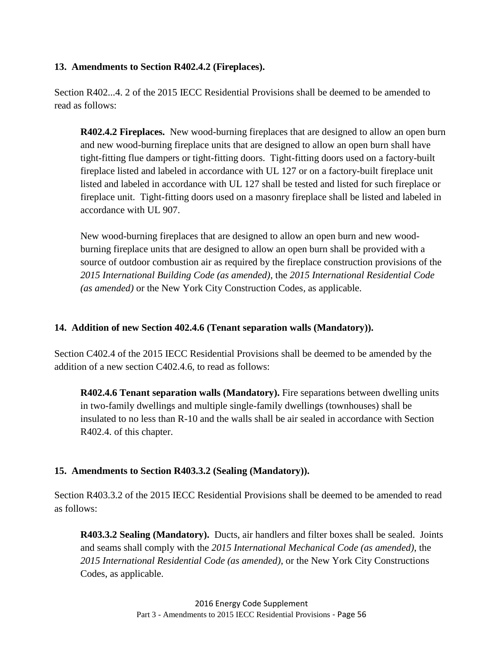### <span id="page-62-0"></span>**13. Amendments to Section R402.4.2 (Fireplaces).**

Section R402...4. 2 of the 2015 IECC Residential Provisions shall be deemed to be amended to read as follows:

**R402.4.2 Fireplaces.** New wood-burning fireplaces that are designed to allow an open burn and new wood-burning fireplace units that are designed to allow an open burn shall have tight-fitting flue dampers or tight-fitting doors. Tight-fitting doors used on a factory-built fireplace listed and labeled in accordance with UL 127 or on a factory-built fireplace unit listed and labeled in accordance with UL 127 shall be tested and listed for such fireplace or fireplace unit. Tight-fitting doors used on a masonry fireplace shall be listed and labeled in accordance with UL 907.

New wood-burning fireplaces that are designed to allow an open burn and new woodburning fireplace units that are designed to allow an open burn shall be provided with a source of outdoor combustion air as required by the fireplace construction provisions of the *2015 International Building Code (as amended)*, the *2015 International Residential Code (as amended)* or the New York City Construction Codes*,* as applicable.

### <span id="page-62-1"></span>**14. Addition of new Section 402.4.6 (Tenant separation walls (Mandatory)).**

Section C402.4 of the 2015 IECC Residential Provisions shall be deemed to be amended by the addition of a new section C402.4.6, to read as follows:

**R402.4.6 Tenant separation walls (Mandatory).** Fire separations between dwelling units in two-family dwellings and multiple single-family dwellings (townhouses) shall be insulated to no less than R-10 and the walls shall be air sealed in accordance with Section R402.4. of this chapter.

### <span id="page-62-2"></span>**15. Amendments to Section R403.3.2 (Sealing (Mandatory)).**

Section R403.3.2 of the 2015 IECC Residential Provisions shall be deemed to be amended to read as follows:

**R403.3.2 Sealing (Mandatory).** Ducts, air handlers and filter boxes shall be sealed. Joints and seams shall comply with the *2015 International Mechanical Code (as amended)*, the *2015 International Residential Code (as amended)*, or the New York City Constructions Codes, as applicable.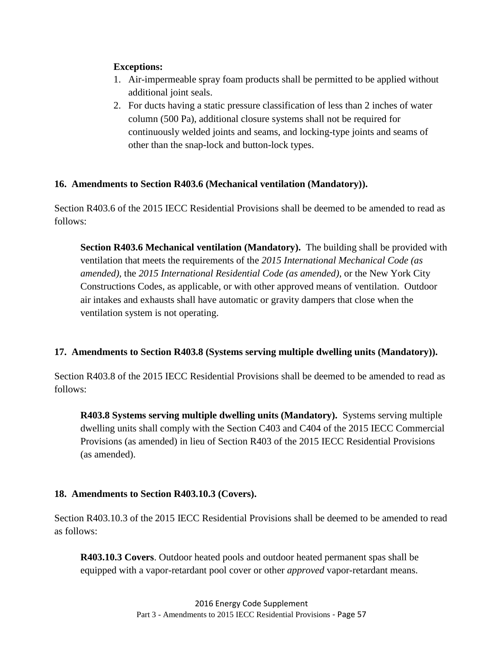### **Exceptions:**

- 1. Air-impermeable spray foam products shall be permitted to be applied without additional joint seals.
- 2. For ducts having a static pressure classification of less than 2 inches of water column (500 Pa), additional closure systems shall not be required for continuously welded joints and seams, and locking-type joints and seams of other than the snap-lock and button-lock types.

# <span id="page-63-0"></span>**16. Amendments to Section R403.6 (Mechanical ventilation (Mandatory)).**

Section R403.6 of the 2015 IECC Residential Provisions shall be deemed to be amended to read as follows:

**Section R403.6 Mechanical ventilation (Mandatory).** The building shall be provided with ventilation that meets the requirements of the *2015 International Mechanical Code (as amended)*, the *2015 International Residential Code (as amended)*, or the New York City Constructions Codes, as applicable, or with other approved means of ventilation. Outdoor air intakes and exhausts shall have automatic or gravity dampers that close when the ventilation system is not operating.

# <span id="page-63-1"></span>**17. Amendments to Section R403.8 (Systems serving multiple dwelling units (Mandatory)).**

Section R403.8 of the 2015 IECC Residential Provisions shall be deemed to be amended to read as follows:

**R403.8 Systems serving multiple dwelling units (Mandatory).** Systems serving multiple dwelling units shall comply with the Section C403 and C404 of the 2015 IECC Commercial Provisions (as amended) in lieu of Section R403 of the 2015 IECC Residential Provisions (as amended).

### <span id="page-63-2"></span>**18. Amendments to Section R403.10.3 (Covers).**

Section R403.10.3 of the 2015 IECC Residential Provisions shall be deemed to be amended to read as follows:

**R403.10.3 Covers**. Outdoor heated pools and outdoor heated permanent spas shall be equipped with a vapor-retardant pool cover or other *approved* vapor-retardant means.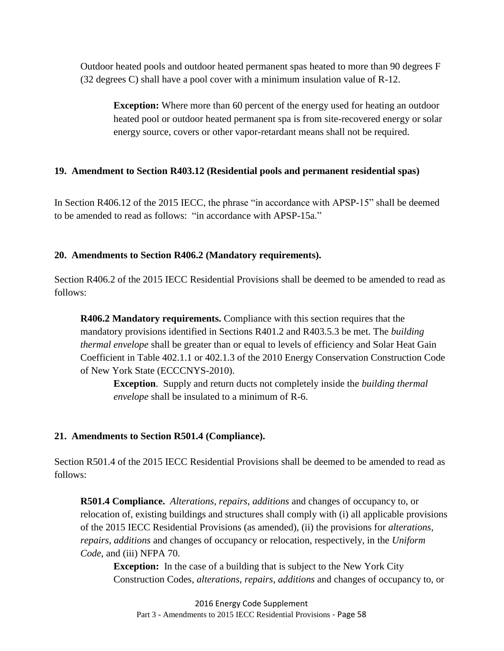Outdoor heated pools and outdoor heated permanent spas heated to more than 90 degrees F (32 degrees C) shall have a pool cover with a minimum insulation value of R-12.

**Exception:** Where more than 60 percent of the energy used for heating an outdoor heated pool or outdoor heated permanent spa is from site-recovered energy or solar energy source, covers or other vapor-retardant means shall not be required.

### **19. Amendment to Section R403.12 (Residential pools and permanent residential spas)**

In Section R406.12 of the 2015 IECC, the phrase "in accordance with APSP-15" shall be deemed to be amended to read as follows: "in accordance with APSP-15a."

#### <span id="page-64-0"></span>**20. Amendments to Section R406.2 (Mandatory requirements).**

Section R406.2 of the 2015 IECC Residential Provisions shall be deemed to be amended to read as follows:

**R406.2 Mandatory requirements.** Compliance with this section requires that the mandatory provisions identified in Sections R401.2 and R403.5.3 be met. The *building thermal envelope* shall be greater than or equal to levels of efficiency and Solar Heat Gain Coefficient in Table 402.1.1 or 402.1.3 of the 2010 Energy Conservation Construction Code of New York State (ECCCNYS-2010).

**Exception**. Supply and return ducts not completely inside the *building thermal envelope* shall be insulated to a minimum of R-6.

### <span id="page-64-1"></span>**21. Amendments to Section R501.4 (Compliance).**

Section R501.4 of the 2015 IECC Residential Provisions shall be deemed to be amended to read as follows:

**R501.4 Compliance.** *Alterations*, *repairs*, *additions* and changes of occupancy to, or relocation of, existing buildings and structures shall comply with (i) all applicable provisions of the 2015 IECC Residential Provisions (as amended), (ii) the provisions for *alterations*, *repairs*, *additions* and changes of occupancy or relocation, respectively, in the *Uniform Code*, and (iii) NFPA 70.

**Exception:** In the case of a building that is subject to the New York City Construction Codes, *alterations*, *repairs*, *additions* and changes of occupancy to, or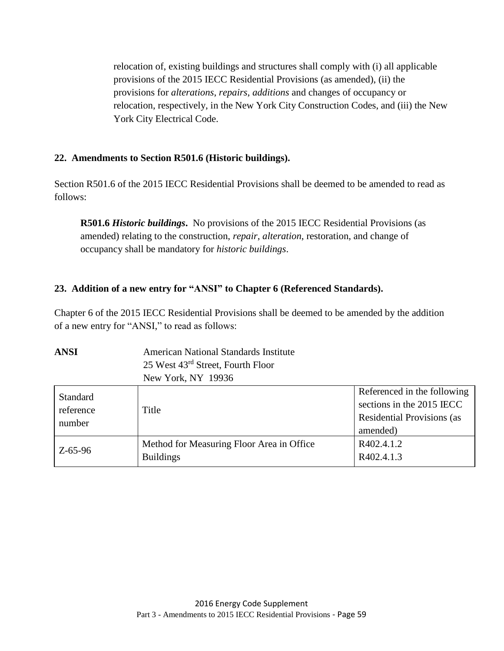relocation of, existing buildings and structures shall comply with (i) all applicable provisions of the 2015 IECC Residential Provisions (as amended), (ii) the provisions for *alterations*, *repairs*, *additions* and changes of occupancy or relocation, respectively, in the New York City Construction Codes, and (iii) the New York City Electrical Code.

### <span id="page-65-0"></span>**22. Amendments to Section R501.6 (Historic buildings).**

Section R501.6 of the 2015 IECC Residential Provisions shall be deemed to be amended to read as follows:

**R501.6** *Historic buildings***.** No provisions of the 2015 IECC Residential Provisions (as amended) relating to the construction, *repair*, *alteration*, restoration, and change of occupancy shall be mandatory for *historic buildings*.

### <span id="page-65-1"></span>**23. Addition of a new entry for "ANSI" to Chapter 6 (Referenced Standards).**

Chapter 6 of the 2015 IECC Residential Provisions shall be deemed to be amended by the addition of a new entry for "ANSI," to read as follows:

# **ANSI** American National Standards Institute 25 West 43rd Street, Fourth Floor New York, NY 19936

| Standard<br>reference<br>number | Title                                     | Referenced in the following<br>sections in the 2015 IECC<br><b>Residential Provisions (as</b> |
|---------------------------------|-------------------------------------------|-----------------------------------------------------------------------------------------------|
|                                 |                                           | amended)                                                                                      |
| $Z - 65 - 96$                   | Method for Measuring Floor Area in Office | R402.4.1.2                                                                                    |
|                                 | <b>Buildings</b>                          | R402.4.1.3                                                                                    |